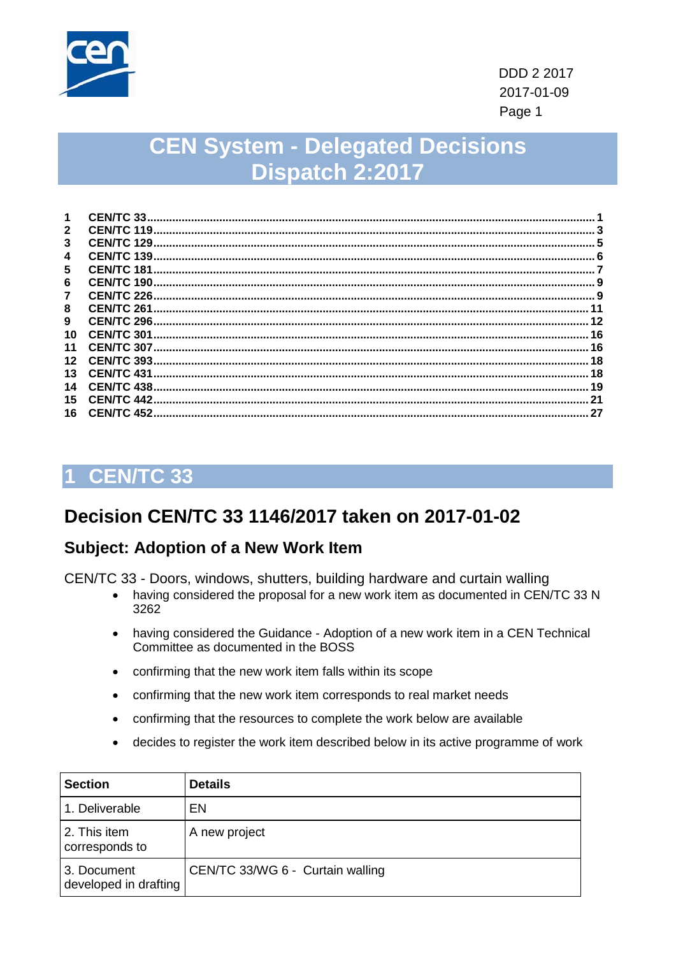

# **CEN System - Delegated Decisions Dispatch 2:2017**

| $\mathbf{2}$<br>3<br><b>CEN/TC 139.</b><br>4<br>5<br>6<br><b>CEN/TC 226.</b><br>7<br>8<br>9<br><b>CEN/TC 301</b><br>10<br>11<br>$12 \,$<br>13<br><b>CEN/TC 431</b> | 1  | CEN/TC 33 |    |
|--------------------------------------------------------------------------------------------------------------------------------------------------------------------|----|-----------|----|
|                                                                                                                                                                    |    |           |    |
|                                                                                                                                                                    |    |           |    |
|                                                                                                                                                                    |    |           |    |
|                                                                                                                                                                    |    |           |    |
|                                                                                                                                                                    |    |           |    |
|                                                                                                                                                                    |    |           | -9 |
|                                                                                                                                                                    |    |           |    |
|                                                                                                                                                                    |    |           | 12 |
|                                                                                                                                                                    |    |           | 16 |
|                                                                                                                                                                    |    |           | 16 |
|                                                                                                                                                                    |    |           | 18 |
|                                                                                                                                                                    |    |           | 18 |
|                                                                                                                                                                    | 14 |           | 19 |
| 15<br><b>CEN/TC 442.</b>                                                                                                                                           |    |           | 21 |
| <b>CEN/TC 452.</b><br>16                                                                                                                                           |    |           | 27 |

#### <span id="page-0-0"></span>**CEN/TC 33** 1

### Decision CEN/TC 33 1146/2017 taken on 2017-01-02

### **Subject: Adoption of a New Work Item**

CEN/TC 33 - Doors, windows, shutters, building hardware and curtain walling

- having considered the proposal for a new work item as documented in CEN/TC 33 N 3262
- having considered the Guidance Adoption of a new work item in a CEN Technical  $\bullet$ Committee as documented in the BOSS
- confirming that the new work item falls within its scope
- confirming that the new work item corresponds to real market needs  $\bullet$
- confirming that the resources to complete the work below are available  $\bullet$
- decides to register the work item described below in its active programme of work

| <b>Section</b>                       | <b>Details</b>                   |
|--------------------------------------|----------------------------------|
| 1. Deliverable                       | EN                               |
| 2. This item<br>corresponds to       | A new project                    |
| 3. Document<br>developed in drafting | CEN/TC 33/WG 6 - Curtain walling |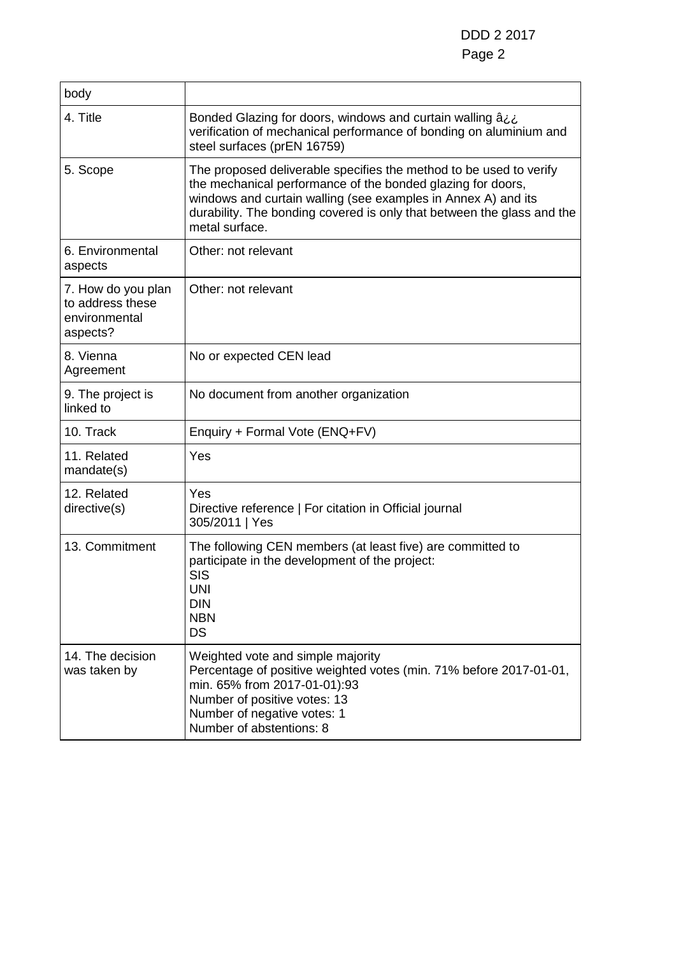DDD 2 2017 Page 2

| body                                                                |                                                                                                                                                                                                                                                                                                |
|---------------------------------------------------------------------|------------------------------------------------------------------------------------------------------------------------------------------------------------------------------------------------------------------------------------------------------------------------------------------------|
| 4. Title                                                            | Bonded Glazing for doors, windows and curtain walling â.<br>verification of mechanical performance of bonding on aluminium and<br>steel surfaces (prEN 16759)                                                                                                                                  |
| 5. Scope                                                            | The proposed deliverable specifies the method to be used to verify<br>the mechanical performance of the bonded glazing for doors,<br>windows and curtain walling (see examples in Annex A) and its<br>durability. The bonding covered is only that between the glass and the<br>metal surface. |
| 6. Environmental<br>aspects                                         | Other: not relevant                                                                                                                                                                                                                                                                            |
| 7. How do you plan<br>to address these<br>environmental<br>aspects? | Other: not relevant                                                                                                                                                                                                                                                                            |
| 8. Vienna<br>Agreement                                              | No or expected CEN lead                                                                                                                                                                                                                                                                        |
| 9. The project is<br>linked to                                      | No document from another organization                                                                                                                                                                                                                                                          |
| 10. Track                                                           | Enquiry + Formal Vote (ENQ+FV)                                                                                                                                                                                                                                                                 |
| 11. Related<br>mandate(s)                                           | Yes                                                                                                                                                                                                                                                                                            |
| 12. Related<br>directive(s)                                         | Yes<br>Directive reference   For citation in Official journal<br>305/2011   Yes                                                                                                                                                                                                                |
| 13. Commitment                                                      | The following CEN members (at least five) are committed to<br>participate in the development of the project:<br><b>SIS</b><br><b>UNI</b><br><b>DIN</b><br><b>NBN</b><br><b>DS</b>                                                                                                              |
| 14. The decision<br>was taken by                                    | Weighted vote and simple majority<br>Percentage of positive weighted votes (min. 71% before 2017-01-01,<br>min. 65% from 2017-01-01):93<br>Number of positive votes: 13<br>Number of negative votes: 1<br>Number of abstentions: 8                                                             |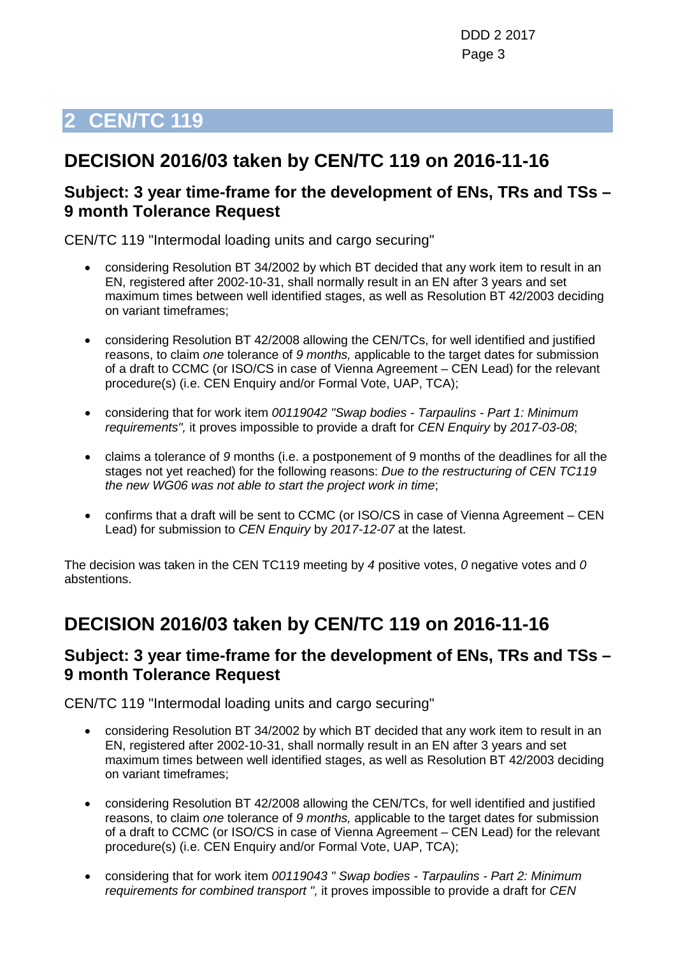## <span id="page-2-0"></span>**DECISION 2016/03 taken by CEN/TC 119 on 2016-11-16**

#### **Subject: 3 year time-frame for the development of ENs, TRs and TSs – 9 month Tolerance Request**

CEN/TC 119 "Intermodal loading units and cargo securing"

- considering Resolution BT 34/2002 by which BT decided that any work item to result in an EN, registered after 2002-10-31, shall normally result in an EN after 3 years and set maximum times between well identified stages, as well as Resolution BT 42/2003 deciding on variant timeframes;
- considering Resolution BT 42/2008 allowing the CEN/TCs, for well identified and justified reasons, to claim *one* tolerance of *9 months,* applicable to the target dates for submission of a draft to CCMC (or ISO/CS in case of Vienna Agreement – CEN Lead) for the relevant procedure(s) (i.e. CEN Enquiry and/or Formal Vote, UAP, TCA);
- considering that for work item *00119042 "Swap bodies - Tarpaulins - Part 1: Minimum requirements",* it proves impossible to provide a draft for *CEN Enquiry* by *2017-03-08*;
- claims a tolerance of *9* months (i.e. a postponement of 9 months of the deadlines for all the stages not yet reached) for the following reasons: *Due to the restructuring of CEN TC119 the new WG06 was not able to start the project work in time*;
- confirms that a draft will be sent to CCMC (or ISO/CS in case of Vienna Agreement CEN Lead) for submission to *CEN Enquiry* by *2017-12-07* at the latest.

The decision was taken in the CEN TC119 meeting by *4* positive votes, *0* negative votes and *0* abstentions.

## **DECISION 2016/03 taken by CEN/TC 119 on 2016-11-16**

#### **Subject: 3 year time-frame for the development of ENs, TRs and TSs – 9 month Tolerance Request**

CEN/TC 119 "Intermodal loading units and cargo securing"

- considering Resolution BT 34/2002 by which BT decided that any work item to result in an EN, registered after 2002-10-31, shall normally result in an EN after 3 years and set maximum times between well identified stages, as well as Resolution BT 42/2003 deciding on variant timeframes;
- considering Resolution BT 42/2008 allowing the CEN/TCs, for well identified and justified reasons, to claim *one* tolerance of *9 months,* applicable to the target dates for submission of a draft to CCMC (or ISO/CS in case of Vienna Agreement – CEN Lead) for the relevant procedure(s) (i.e. CEN Enquiry and/or Formal Vote, UAP, TCA);
- considering that for work item *00119043 " Swap bodies - Tarpaulins - Part 2: Minimum requirements for combined transport ",* it proves impossible to provide a draft for *CEN*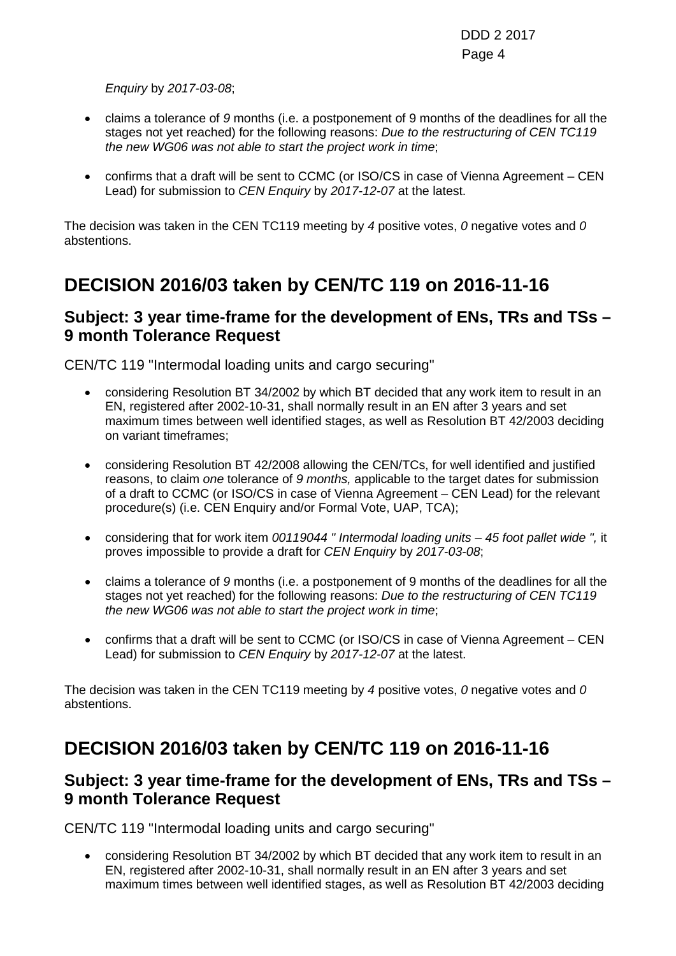#### *Enquiry* by *2017-03-08*;

- claims a tolerance of *9* months (i.e. a postponement of 9 months of the deadlines for all the stages not yet reached) for the following reasons: *Due to the restructuring of CEN TC119 the new WG06 was not able to start the project work in time*;
- confirms that a draft will be sent to CCMC (or ISO/CS in case of Vienna Agreement CEN Lead) for submission to *CEN Enquiry* by *2017-12-07* at the latest.

The decision was taken in the CEN TC119 meeting by *4* positive votes, *0* negative votes and *0* abstentions.

## **DECISION 2016/03 taken by CEN/TC 119 on 2016-11-16**

#### **Subject: 3 year time-frame for the development of ENs, TRs and TSs – 9 month Tolerance Request**

CEN/TC 119 "Intermodal loading units and cargo securing"

- considering Resolution BT 34/2002 by which BT decided that any work item to result in an EN, registered after 2002-10-31, shall normally result in an EN after 3 years and set maximum times between well identified stages, as well as Resolution BT 42/2003 deciding on variant timeframes;
- considering Resolution BT 42/2008 allowing the CEN/TCs, for well identified and justified reasons, to claim *one* tolerance of *9 months,* applicable to the target dates for submission of a draft to CCMC (or ISO/CS in case of Vienna Agreement – CEN Lead) for the relevant procedure(s) (i.e. CEN Enquiry and/or Formal Vote, UAP, TCA);
- considering that for work item *00119044 " Intermodal loading units – 45 foot pallet wide ",* it proves impossible to provide a draft for *CEN Enquiry* by *2017-03-08*;
- claims a tolerance of *9* months (i.e. a postponement of 9 months of the deadlines for all the stages not yet reached) for the following reasons: *Due to the restructuring of CEN TC119 the new WG06 was not able to start the project work in time*;
- confirms that a draft will be sent to CCMC (or ISO/CS in case of Vienna Agreement CEN Lead) for submission to *CEN Enquiry* by *2017-12-07* at the latest.

The decision was taken in the CEN TC119 meeting by *4* positive votes, *0* negative votes and *0* abstentions.

## **DECISION 2016/03 taken by CEN/TC 119 on 2016-11-16**

### **Subject: 3 year time-frame for the development of ENs, TRs and TSs – 9 month Tolerance Request**

CEN/TC 119 "Intermodal loading units and cargo securing"

• considering Resolution BT 34/2002 by which BT decided that any work item to result in an EN, registered after 2002-10-31, shall normally result in an EN after 3 years and set maximum times between well identified stages, as well as Resolution BT 42/2003 deciding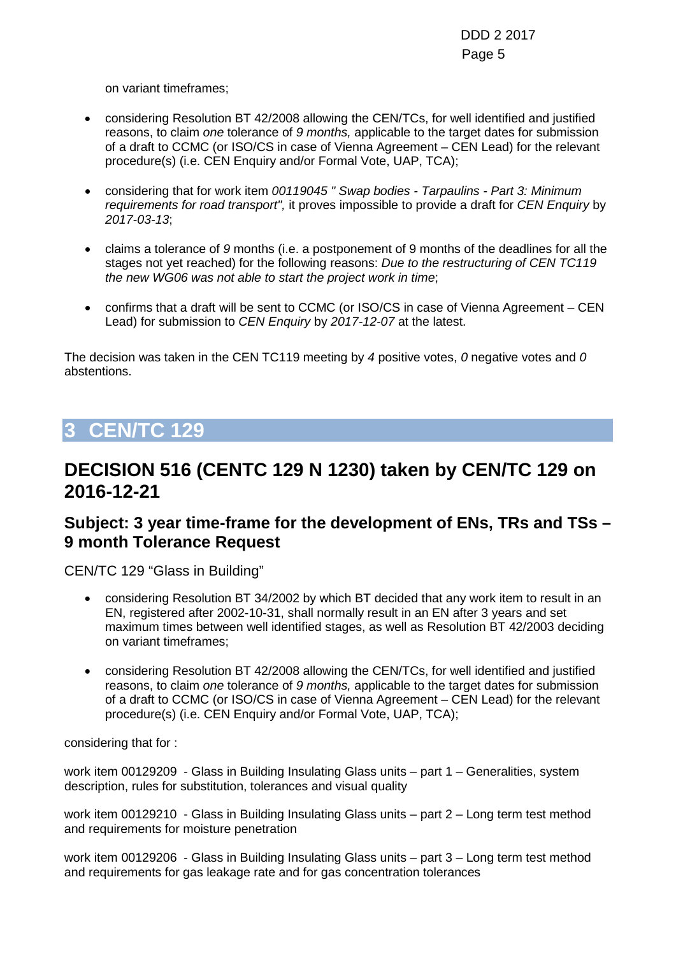on variant timeframes;

- considering Resolution BT 42/2008 allowing the CEN/TCs, for well identified and justified reasons, to claim *one* tolerance of *9 months,* applicable to the target dates for submission of a draft to CCMC (or ISO/CS in case of Vienna Agreement – CEN Lead) for the relevant procedure(s) (i.e. CEN Enquiry and/or Formal Vote, UAP, TCA);
- considering that for work item *00119045 " Swap bodies - Tarpaulins - Part 3: Minimum requirements for road transport",* it proves impossible to provide a draft for *CEN Enquiry* by *2017-03-13*;
- claims a tolerance of *9* months (i.e. a postponement of 9 months of the deadlines for all the stages not yet reached) for the following reasons: *Due to the restructuring of CEN TC119 the new WG06 was not able to start the project work in time*;
- confirms that a draft will be sent to CCMC (or ISO/CS in case of Vienna Agreement CEN Lead) for submission to *CEN Enquiry* by *2017-12-07* at the latest.

The decision was taken in the CEN TC119 meeting by *4* positive votes, *0* negative votes and *0* abstentions.

## <span id="page-4-0"></span>**3 CEN/TC 129**

### **DECISION 516 (CENTC 129 N 1230) taken by CEN/TC 129 on 2016-12-21**

### **Subject: 3 year time-frame for the development of ENs, TRs and TSs – 9 month Tolerance Request**

CEN/TC 129 "Glass in Building"

- considering Resolution BT 34/2002 by which BT decided that any work item to result in an EN, registered after 2002-10-31, shall normally result in an EN after 3 years and set maximum times between well identified stages, as well as Resolution BT 42/2003 deciding on variant timeframes;
- considering Resolution BT 42/2008 allowing the CEN/TCs, for well identified and justified reasons, to claim *one* tolerance of *9 months,* applicable to the target dates for submission of a draft to CCMC (or ISO/CS in case of Vienna Agreement – CEN Lead) for the relevant procedure(s) (i.e. CEN Enquiry and/or Formal Vote, UAP, TCA);

considering that for :

work item 00129209 - Glass in Building Insulating Glass units – part 1 – Generalities, system description, rules for substitution, tolerances and visual quality

work item 00129210 - Glass in Building Insulating Glass units – part 2 – Long term test method and requirements for moisture penetration

work item 00129206 - Glass in Building Insulating Glass units – part 3 – Long term test method and requirements for gas leakage rate and for gas concentration tolerances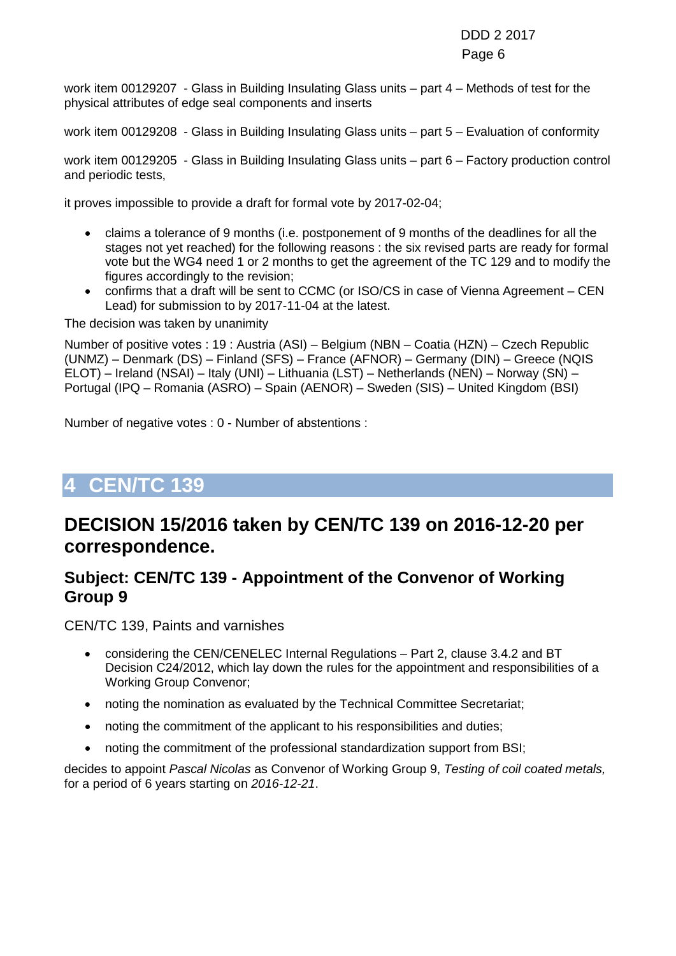work item 00129207 - Glass in Building Insulating Glass units – part 4 – Methods of test for the physical attributes of edge seal components and inserts

work item 00129208 - Glass in Building Insulating Glass units – part 5 – Evaluation of conformity

work item 00129205 - Glass in Building Insulating Glass units – part 6 – Factory production control and periodic tests,

it proves impossible to provide a draft for formal vote by 2017-02-04;

- claims a tolerance of 9 months (i.e. postponement of 9 months of the deadlines for all the stages not yet reached) for the following reasons : the six revised parts are ready for formal vote but the WG4 need 1 or 2 months to get the agreement of the TC 129 and to modify the figures accordingly to the revision;
- confirms that a draft will be sent to CCMC (or ISO/CS in case of Vienna Agreement CEN Lead) for submission to by 2017-11-04 at the latest.

The decision was taken by unanimity

Number of positive votes : 19 : Austria (ASI) – Belgium (NBN – Coatia (HZN) – Czech Republic (UNMZ) – Denmark (DS) – Finland (SFS) – France (AFNOR) – Germany (DIN) – Greece (NQIS ELOT) – Ireland (NSAI) – Italy (UNI) – Lithuania (LST) – Netherlands (NEN) – Norway (SN) – Portugal (IPQ – Romania (ASRO) – Spain (AENOR) – Sweden (SIS) – United Kingdom (BSI)

Number of negative votes : 0 - Number of abstentions :

## <span id="page-5-0"></span>**4 CEN/TC 139**

### **DECISION 15/2016 taken by CEN/TC 139 on 2016-12-20 per correspondence.**

#### **Subject: CEN/TC 139 - Appointment of the Convenor of Working Group 9**

CEN/TC 139, Paints and varnishes

- considering the CEN/CENELEC Internal Regulations Part 2, clause 3.4.2 and BT Decision C24/2012, which lay down the rules for the appointment and responsibilities of a Working Group Convenor;
- noting the nomination as evaluated by the Technical Committee Secretariat;
- noting the commitment of the applicant to his responsibilities and duties;
- noting the commitment of the professional standardization support from BSI;

decides to appoint *Pascal Nicolas* as Convenor of Working Group 9, *Testing of coil coated metals,*  for a period of 6 years starting on *2016-12-21*.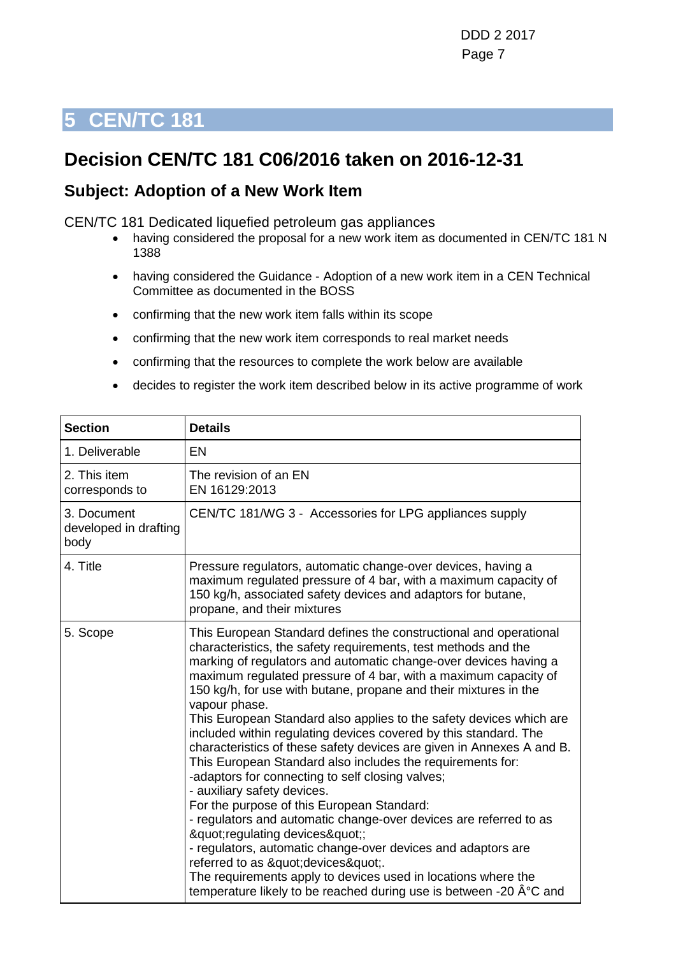## <span id="page-6-0"></span>**Decision CEN/TC 181 C06/2016 taken on 2016-12-31**

#### **Subject: Adoption of a New Work Item**

CEN/TC 181 Dedicated liquefied petroleum gas appliances

- having considered the proposal for a new work item as documented in CEN/TC 181 N 1388
- having considered the Guidance Adoption of a new work item in a CEN Technical Committee as documented in the BOSS
- confirming that the new work item falls within its scope
- confirming that the new work item corresponds to real market needs
- confirming that the resources to complete the work below are available
- decides to register the work item described below in its active programme of work

| <b>Section</b>                               | <b>Details</b>                                                                                                                                                                                                                                                                                                                                                                                                                                                                                                                                                                                                                                                                                                                                                                                                                                                                                                                                                                                                                                                                                                              |
|----------------------------------------------|-----------------------------------------------------------------------------------------------------------------------------------------------------------------------------------------------------------------------------------------------------------------------------------------------------------------------------------------------------------------------------------------------------------------------------------------------------------------------------------------------------------------------------------------------------------------------------------------------------------------------------------------------------------------------------------------------------------------------------------------------------------------------------------------------------------------------------------------------------------------------------------------------------------------------------------------------------------------------------------------------------------------------------------------------------------------------------------------------------------------------------|
| 1. Deliverable                               | EN                                                                                                                                                                                                                                                                                                                                                                                                                                                                                                                                                                                                                                                                                                                                                                                                                                                                                                                                                                                                                                                                                                                          |
| 2. This item<br>corresponds to               | The revision of an EN<br>EN 16129:2013                                                                                                                                                                                                                                                                                                                                                                                                                                                                                                                                                                                                                                                                                                                                                                                                                                                                                                                                                                                                                                                                                      |
| 3. Document<br>developed in drafting<br>body | CEN/TC 181/WG 3 - Accessories for LPG appliances supply                                                                                                                                                                                                                                                                                                                                                                                                                                                                                                                                                                                                                                                                                                                                                                                                                                                                                                                                                                                                                                                                     |
| 4. Title                                     | Pressure regulators, automatic change-over devices, having a<br>maximum regulated pressure of 4 bar, with a maximum capacity of<br>150 kg/h, associated safety devices and adaptors for butane,<br>propane, and their mixtures                                                                                                                                                                                                                                                                                                                                                                                                                                                                                                                                                                                                                                                                                                                                                                                                                                                                                              |
| 5. Scope                                     | This European Standard defines the constructional and operational<br>characteristics, the safety requirements, test methods and the<br>marking of regulators and automatic change-over devices having a<br>maximum regulated pressure of 4 bar, with a maximum capacity of<br>150 kg/h, for use with butane, propane and their mixtures in the<br>vapour phase.<br>This European Standard also applies to the safety devices which are<br>included within regulating devices covered by this standard. The<br>characteristics of these safety devices are given in Annexes A and B.<br>This European Standard also includes the requirements for:<br>-adaptors for connecting to self closing valves;<br>- auxiliary safety devices.<br>For the purpose of this European Standard:<br>- regulators and automatic change-over devices are referred to as<br>"regulating devices";<br>- regulators, automatic change-over devices and adaptors are<br>referred to as " devices & quot;.<br>The requirements apply to devices used in locations where the<br>temperature likely to be reached during use is between -20 °C and |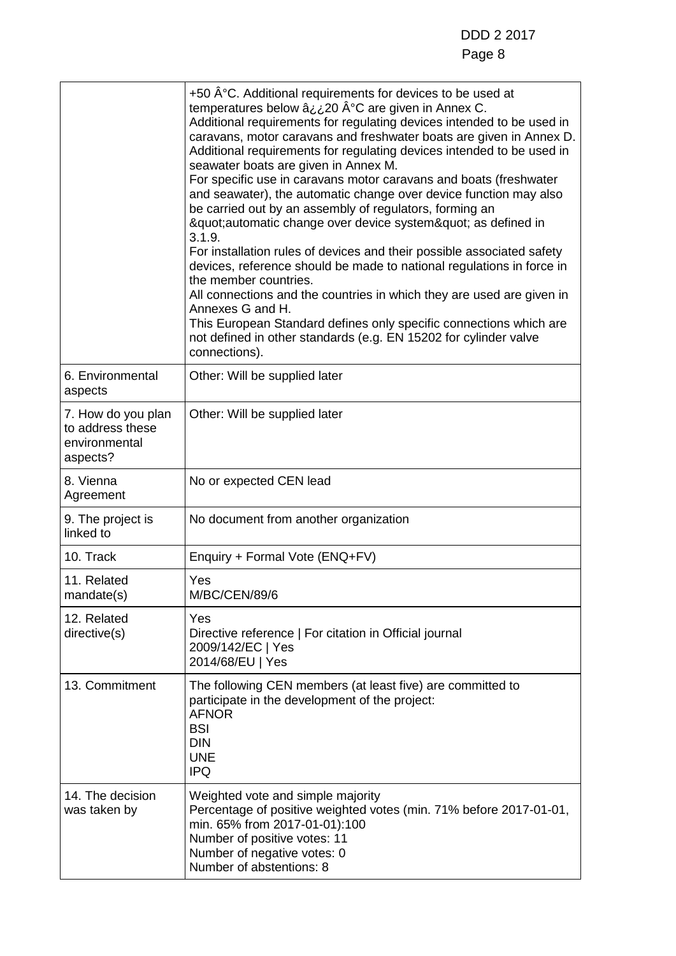|                                                                     | +50 $A^{\circ}$ C. Additional requirements for devices to be used at<br>temperatures below ⿿20 °C are given in Annex C.<br>Additional requirements for regulating devices intended to be used in<br>caravans, motor caravans and freshwater boats are given in Annex D.<br>Additional requirements for regulating devices intended to be used in<br>seawater boats are given in Annex M.<br>For specific use in caravans motor caravans and boats (freshwater<br>and seawater), the automatic change over device function may also<br>be carried out by an assembly of regulators, forming an<br>"automatic change over device system" as defined in<br>3.1.9.<br>For installation rules of devices and their possible associated safety<br>devices, reference should be made to national regulations in force in<br>the member countries.<br>All connections and the countries in which they are used are given in<br>Annexes G and H.<br>This European Standard defines only specific connections which are<br>not defined in other standards (e.g. EN 15202 for cylinder valve<br>connections). |
|---------------------------------------------------------------------|----------------------------------------------------------------------------------------------------------------------------------------------------------------------------------------------------------------------------------------------------------------------------------------------------------------------------------------------------------------------------------------------------------------------------------------------------------------------------------------------------------------------------------------------------------------------------------------------------------------------------------------------------------------------------------------------------------------------------------------------------------------------------------------------------------------------------------------------------------------------------------------------------------------------------------------------------------------------------------------------------------------------------------------------------------------------------------------------------|
| 6. Environmental<br>aspects                                         | Other: Will be supplied later                                                                                                                                                                                                                                                                                                                                                                                                                                                                                                                                                                                                                                                                                                                                                                                                                                                                                                                                                                                                                                                                      |
| 7. How do you plan<br>to address these<br>environmental<br>aspects? | Other: Will be supplied later                                                                                                                                                                                                                                                                                                                                                                                                                                                                                                                                                                                                                                                                                                                                                                                                                                                                                                                                                                                                                                                                      |
| 8. Vienna<br>Agreement                                              | No or expected CEN lead                                                                                                                                                                                                                                                                                                                                                                                                                                                                                                                                                                                                                                                                                                                                                                                                                                                                                                                                                                                                                                                                            |
| 9. The project is<br>linked to                                      | No document from another organization                                                                                                                                                                                                                                                                                                                                                                                                                                                                                                                                                                                                                                                                                                                                                                                                                                                                                                                                                                                                                                                              |
| 10. Track                                                           | Enquiry + Formal Vote (ENQ+FV)                                                                                                                                                                                                                                                                                                                                                                                                                                                                                                                                                                                                                                                                                                                                                                                                                                                                                                                                                                                                                                                                     |
| 11. Related<br>mandate(s)                                           | Yes<br><b>M/BC/CEN/89/6</b>                                                                                                                                                                                                                                                                                                                                                                                                                                                                                                                                                                                                                                                                                                                                                                                                                                                                                                                                                                                                                                                                        |
| 12. Related<br>directive(s)                                         | Yes<br>Directive reference   For citation in Official journal<br>2009/142/EC   Yes<br>2014/68/EU   Yes                                                                                                                                                                                                                                                                                                                                                                                                                                                                                                                                                                                                                                                                                                                                                                                                                                                                                                                                                                                             |
| 13. Commitment                                                      | The following CEN members (at least five) are committed to<br>participate in the development of the project:<br><b>AFNOR</b><br><b>BSI</b><br><b>DIN</b><br><b>UNE</b><br><b>IPQ</b>                                                                                                                                                                                                                                                                                                                                                                                                                                                                                                                                                                                                                                                                                                                                                                                                                                                                                                               |
| 14. The decision<br>was taken by                                    | Weighted vote and simple majority<br>Percentage of positive weighted votes (min. 71% before 2017-01-01,<br>min. 65% from 2017-01-01):100<br>Number of positive votes: 11<br>Number of negative votes: 0<br>Number of abstentions: 8                                                                                                                                                                                                                                                                                                                                                                                                                                                                                                                                                                                                                                                                                                                                                                                                                                                                |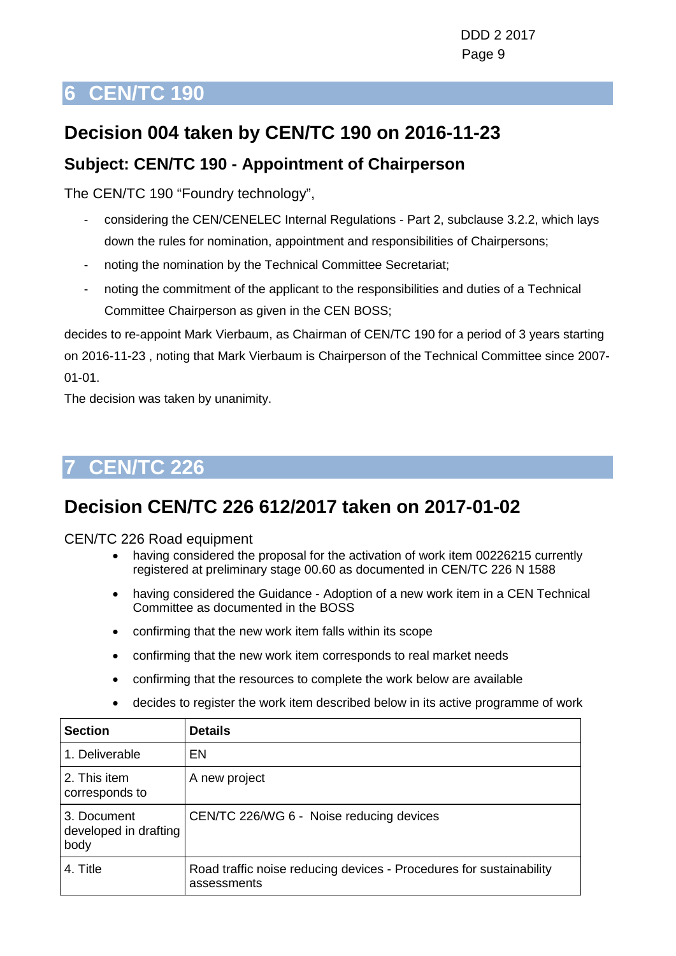## <span id="page-8-0"></span>**Decision 004 taken by CEN/TC 190 on 2016-11-23**

### **Subject: CEN/TC 190 - Appointment of Chairperson**

The CEN/TC 190 "Foundry technology",

- considering the CEN/CENELEC Internal Regulations Part 2, subclause 3.2.2, which lays down the rules for nomination, appointment and responsibilities of Chairpersons;
- noting the nomination by the Technical Committee Secretariat;
- noting the commitment of the applicant to the responsibilities and duties of a Technical Committee Chairperson as given in the CEN BOSS;

decides to re-appoint Mark Vierbaum, as Chairman of CEN/TC 190 for a period of 3 years starting on 2016-11-23 , noting that Mark Vierbaum is Chairperson of the Technical Committee since 2007- 01-01.

The decision was taken by unanimity.

## <span id="page-8-1"></span>**7 CEN/TC 226**

## **Decision CEN/TC 226 612/2017 taken on 2017-01-02**

CEN/TC 226 Road equipment

- having considered the proposal for the activation of work item 00226215 currently registered at preliminary stage 00.60 as documented in CEN/TC 226 N 1588
- having considered the Guidance Adoption of a new work item in a CEN Technical Committee as documented in the BOSS
- confirming that the new work item falls within its scope
- confirming that the new work item corresponds to real market needs
- confirming that the resources to complete the work below are available

| <b>Section</b>                               | <b>Details</b>                                                                     |
|----------------------------------------------|------------------------------------------------------------------------------------|
| 1. Deliverable                               | EN                                                                                 |
| 2. This item<br>corresponds to               | A new project                                                                      |
| 3. Document<br>developed in drafting<br>body | CEN/TC 226/WG 6 - Noise reducing devices                                           |
| 4. Title                                     | Road traffic noise reducing devices - Procedures for sustainability<br>assessments |
|                                              |                                                                                    |

• decides to register the work item described below in its active programme of work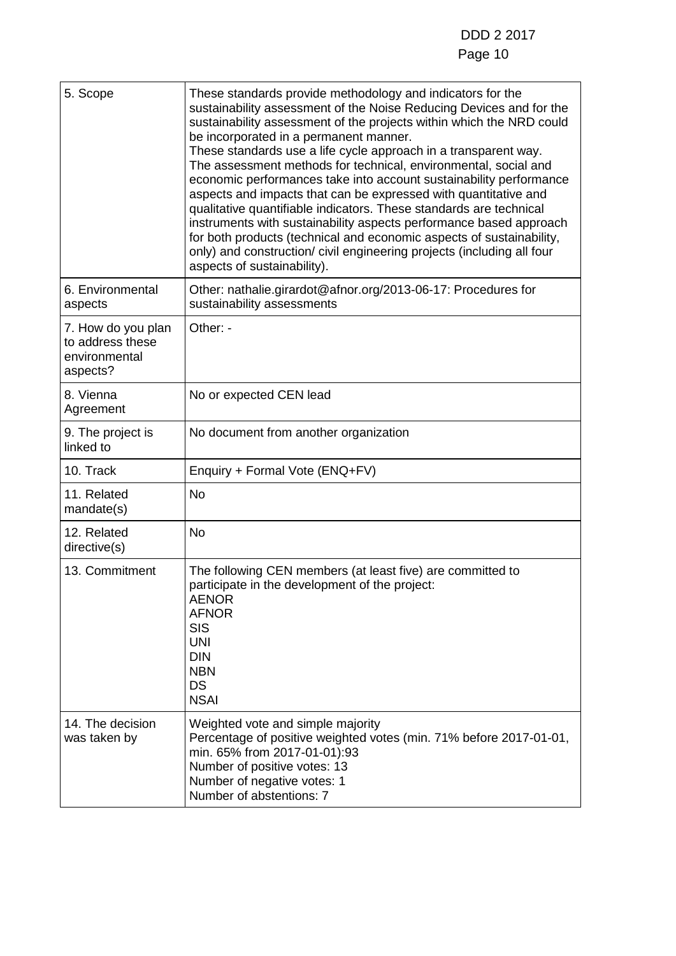| 5. Scope                                                            | These standards provide methodology and indicators for the<br>sustainability assessment of the Noise Reducing Devices and for the<br>sustainability assessment of the projects within which the NRD could<br>be incorporated in a permanent manner.<br>These standards use a life cycle approach in a transparent way.<br>The assessment methods for technical, environmental, social and<br>economic performances take into account sustainability performance<br>aspects and impacts that can be expressed with quantitative and<br>qualitative quantifiable indicators. These standards are technical<br>instruments with sustainability aspects performance based approach<br>for both products (technical and economic aspects of sustainability,<br>only) and construction/ civil engineering projects (including all four<br>aspects of sustainability). |
|---------------------------------------------------------------------|-----------------------------------------------------------------------------------------------------------------------------------------------------------------------------------------------------------------------------------------------------------------------------------------------------------------------------------------------------------------------------------------------------------------------------------------------------------------------------------------------------------------------------------------------------------------------------------------------------------------------------------------------------------------------------------------------------------------------------------------------------------------------------------------------------------------------------------------------------------------|
| 6. Environmental<br>aspects                                         | Other: nathalie.girardot@afnor.org/2013-06-17: Procedures for<br>sustainability assessments                                                                                                                                                                                                                                                                                                                                                                                                                                                                                                                                                                                                                                                                                                                                                                     |
| 7. How do you plan<br>to address these<br>environmental<br>aspects? | Other: -                                                                                                                                                                                                                                                                                                                                                                                                                                                                                                                                                                                                                                                                                                                                                                                                                                                        |
| 8. Vienna<br>Agreement                                              | No or expected CEN lead                                                                                                                                                                                                                                                                                                                                                                                                                                                                                                                                                                                                                                                                                                                                                                                                                                         |
| 9. The project is<br>linked to                                      | No document from another organization                                                                                                                                                                                                                                                                                                                                                                                                                                                                                                                                                                                                                                                                                                                                                                                                                           |
| 10. Track                                                           | Enquiry + Formal Vote (ENQ+FV)                                                                                                                                                                                                                                                                                                                                                                                                                                                                                                                                                                                                                                                                                                                                                                                                                                  |
| 11. Related<br>mandate(s)                                           | <b>No</b>                                                                                                                                                                                                                                                                                                                                                                                                                                                                                                                                                                                                                                                                                                                                                                                                                                                       |
| 12. Related<br>directive(s)                                         | <b>No</b>                                                                                                                                                                                                                                                                                                                                                                                                                                                                                                                                                                                                                                                                                                                                                                                                                                                       |
| 13. Commitment                                                      | The following CEN members (at least five) are committed to<br>participate in the development of the project:<br><b>AENOR</b><br><b>AFNOR</b><br><b>SIS</b><br><b>UNI</b><br><b>DIN</b><br><b>NBN</b><br><b>DS</b><br><b>NSAI</b>                                                                                                                                                                                                                                                                                                                                                                                                                                                                                                                                                                                                                                |
| 14. The decision<br>was taken by                                    | Weighted vote and simple majority<br>Percentage of positive weighted votes (min. 71% before 2017-01-01,<br>min. 65% from 2017-01-01):93<br>Number of positive votes: 13<br>Number of negative votes: 1<br>Number of abstentions: 7                                                                                                                                                                                                                                                                                                                                                                                                                                                                                                                                                                                                                              |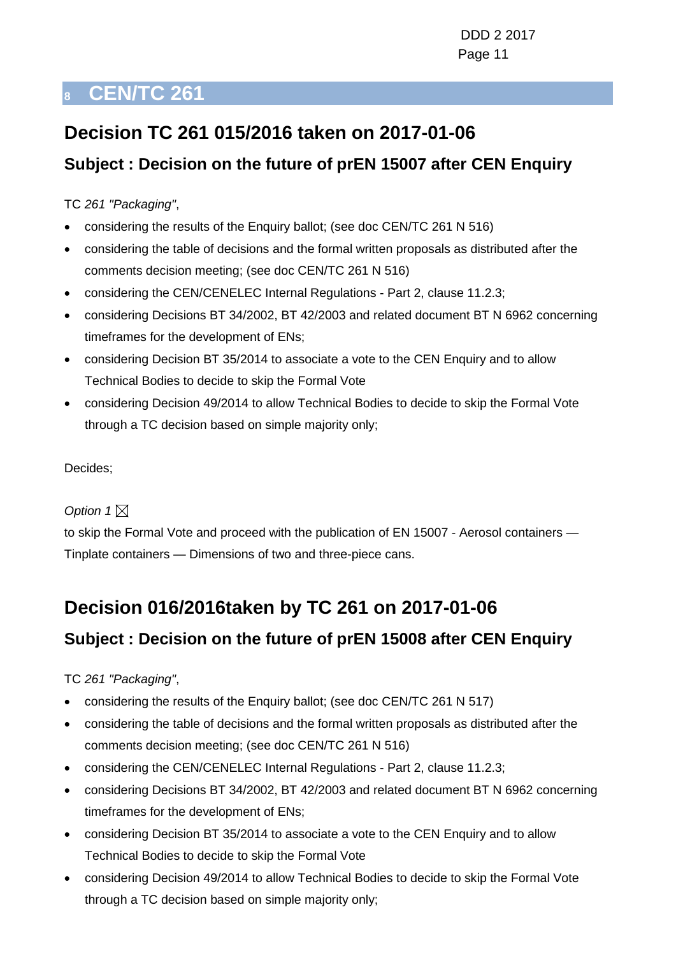## <span id="page-10-0"></span>**Decision TC 261 015/2016 taken on 2017-01-06**

### **Subject : Decision on the future of prEN 15007 after CEN Enquiry**

TC *261 "Packaging"*,

- considering the results of the Enquiry ballot; (see doc CEN/TC 261 N 516)
- considering the table of decisions and the formal written proposals as distributed after the comments decision meeting; (see doc CEN/TC 261 N 516)
- considering the CEN/CENELEC Internal Regulations Part 2, clause 11.2.3;
- considering Decisions BT 34/2002, BT 42/2003 and related document BT N 6962 concerning timeframes for the development of ENs;
- considering Decision BT 35/2014 to associate a vote to the CEN Enquiry and to allow Technical Bodies to decide to skip the Formal Vote
- considering Decision 49/2014 to allow Technical Bodies to decide to skip the Formal Vote through a TC decision based on simple majority only;

Decides;

#### Option  $1 \boxtimes$

to skip the Formal Vote and proceed with the publication of EN 15007 - Aerosol containers — Tinplate containers — Dimensions of two and three-piece cans.

## **Decision 016/2016taken by TC 261 on 2017-01-06**

### **Subject : Decision on the future of prEN 15008 after CEN Enquiry**

TC *261 "Packaging"*,

- considering the results of the Enquiry ballot; (see doc CEN/TC 261 N 517)
- considering the table of decisions and the formal written proposals as distributed after the comments decision meeting; (see doc CEN/TC 261 N 516)
- considering the CEN/CENELEC Internal Regulations Part 2, clause 11.2.3;
- considering Decisions BT 34/2002, BT 42/2003 and related document BT N 6962 concerning timeframes for the development of ENs;
- considering Decision BT 35/2014 to associate a vote to the CEN Enquiry and to allow Technical Bodies to decide to skip the Formal Vote
- considering Decision 49/2014 to allow Technical Bodies to decide to skip the Formal Vote through a TC decision based on simple majority only;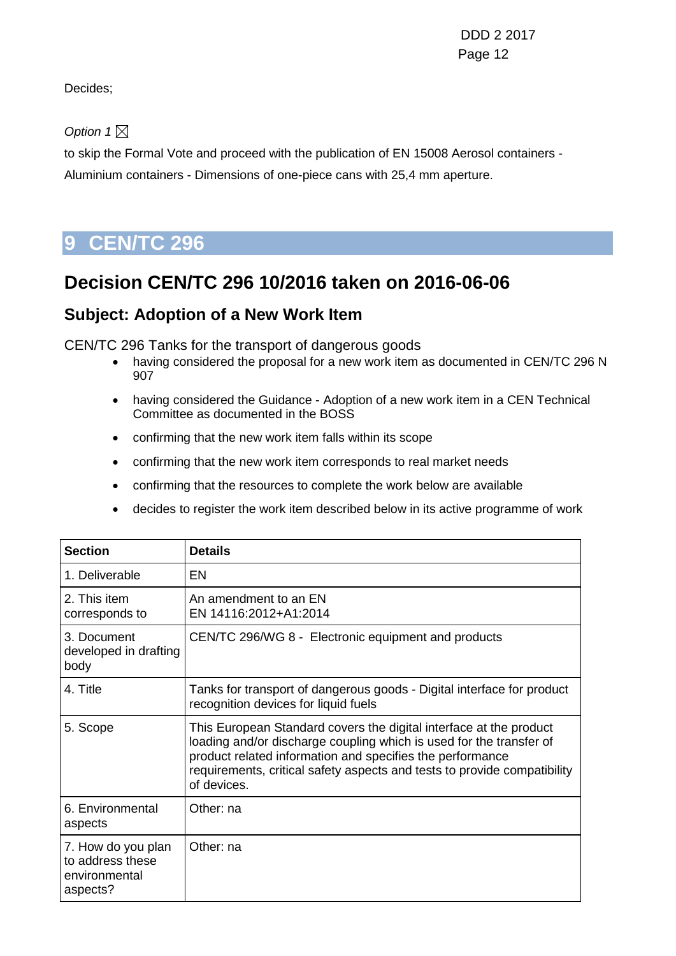DDD 2 2017 Page 12 and the contract of the contract of the Page 12

Decides;

Option  $1 \boxtimes$ 

to skip the Formal Vote and proceed with the publication of EN 15008 Aerosol containers - Aluminium containers - Dimensions of one-piece cans with 25,4 mm aperture.

## <span id="page-11-0"></span>**9 CEN/TC 296**

### **Decision CEN/TC 296 10/2016 taken on 2016-06-06**

### **Subject: Adoption of a New Work Item**

CEN/TC 296 Tanks for the transport of dangerous goods

- having considered the proposal for a new work item as documented in CEN/TC 296 N 907
- having considered the Guidance Adoption of a new work item in a CEN Technical Committee as documented in the BOSS
- confirming that the new work item falls within its scope
- confirming that the new work item corresponds to real market needs
- confirming that the resources to complete the work below are available
- decides to register the work item described below in its active programme of work

| <b>Section</b>                                                      | <b>Details</b>                                                                                                                                                                                                                                                                                    |
|---------------------------------------------------------------------|---------------------------------------------------------------------------------------------------------------------------------------------------------------------------------------------------------------------------------------------------------------------------------------------------|
| 1. Deliverable                                                      | <b>EN</b>                                                                                                                                                                                                                                                                                         |
| 2. This item<br>corresponds to                                      | An amendment to an EN<br>EN 14116:2012+A1:2014                                                                                                                                                                                                                                                    |
| 3. Document<br>developed in drafting<br>body                        | CEN/TC 296/WG 8 - Electronic equipment and products                                                                                                                                                                                                                                               |
| 4. Title                                                            | Tanks for transport of dangerous goods - Digital interface for product<br>recognition devices for liquid fuels                                                                                                                                                                                    |
| 5. Scope                                                            | This European Standard covers the digital interface at the product<br>loading and/or discharge coupling which is used for the transfer of<br>product related information and specifies the performance<br>requirements, critical safety aspects and tests to provide compatibility<br>of devices. |
| 6. Environmental<br>aspects                                         | Other: na                                                                                                                                                                                                                                                                                         |
| 7. How do you plan<br>to address these<br>environmental<br>aspects? | Other: na                                                                                                                                                                                                                                                                                         |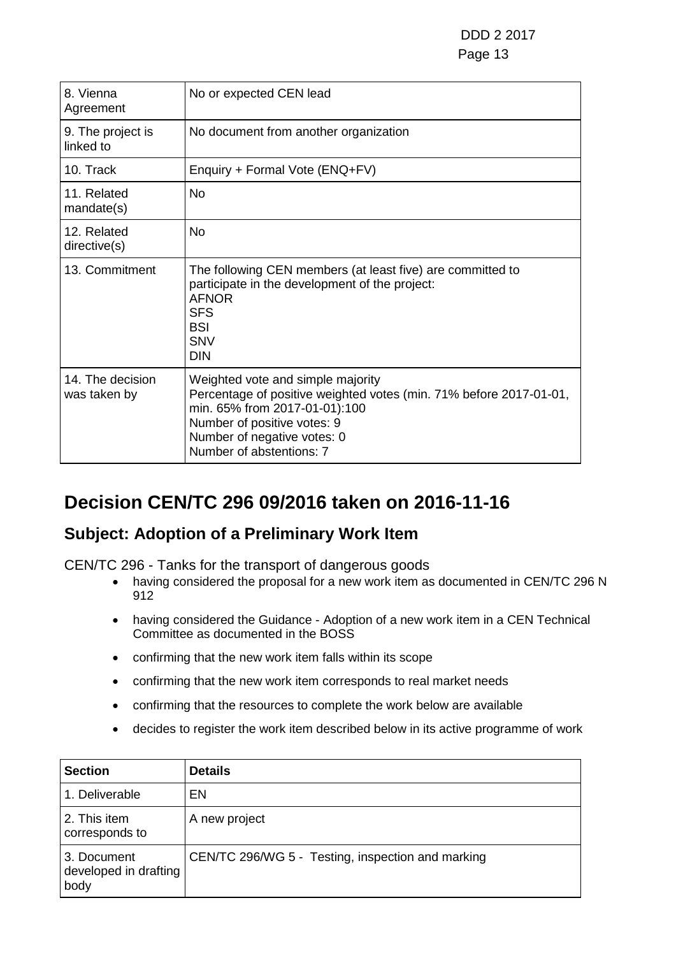| 8. Vienna<br>Agreement           | No or expected CEN lead                                                                                                                                                                                                            |
|----------------------------------|------------------------------------------------------------------------------------------------------------------------------------------------------------------------------------------------------------------------------------|
| 9. The project is<br>linked to   | No document from another organization                                                                                                                                                                                              |
| 10. Track                        | Enquiry + Formal Vote (ENQ+FV)                                                                                                                                                                                                     |
| 11. Related<br>mandate(s)        | <b>No</b>                                                                                                                                                                                                                          |
| 12. Related<br>directive(s)      | <b>No</b>                                                                                                                                                                                                                          |
| 13. Commitment                   | The following CEN members (at least five) are committed to<br>participate in the development of the project:<br><b>AFNOR</b><br><b>SFS</b><br><b>BSI</b><br><b>SNV</b><br><b>DIN</b>                                               |
| 14. The decision<br>was taken by | Weighted vote and simple majority<br>Percentage of positive weighted votes (min. 71% before 2017-01-01,<br>min. 65% from 2017-01-01):100<br>Number of positive votes: 9<br>Number of negative votes: 0<br>Number of abstentions: 7 |

## **Decision CEN/TC 296 09/2016 taken on 2016-11-16**

### **Subject: Adoption of a Preliminary Work Item**

CEN/TC 296 - Tanks for the transport of dangerous goods

- having considered the proposal for a new work item as documented in CEN/TC 296 N 912
- having considered the Guidance Adoption of a new work item in a CEN Technical Committee as documented in the BOSS
- confirming that the new work item falls within its scope
- confirming that the new work item corresponds to real market needs
- confirming that the resources to complete the work below are available
- decides to register the work item described below in its active programme of work

| <b>Section</b>                               | <b>Details</b>                                    |
|----------------------------------------------|---------------------------------------------------|
| 1. Deliverable                               | EN                                                |
| 2. This item<br>corresponds to               | A new project                                     |
| 3. Document<br>developed in drafting<br>body | CEN/TC 296/WG 5 - Testing, inspection and marking |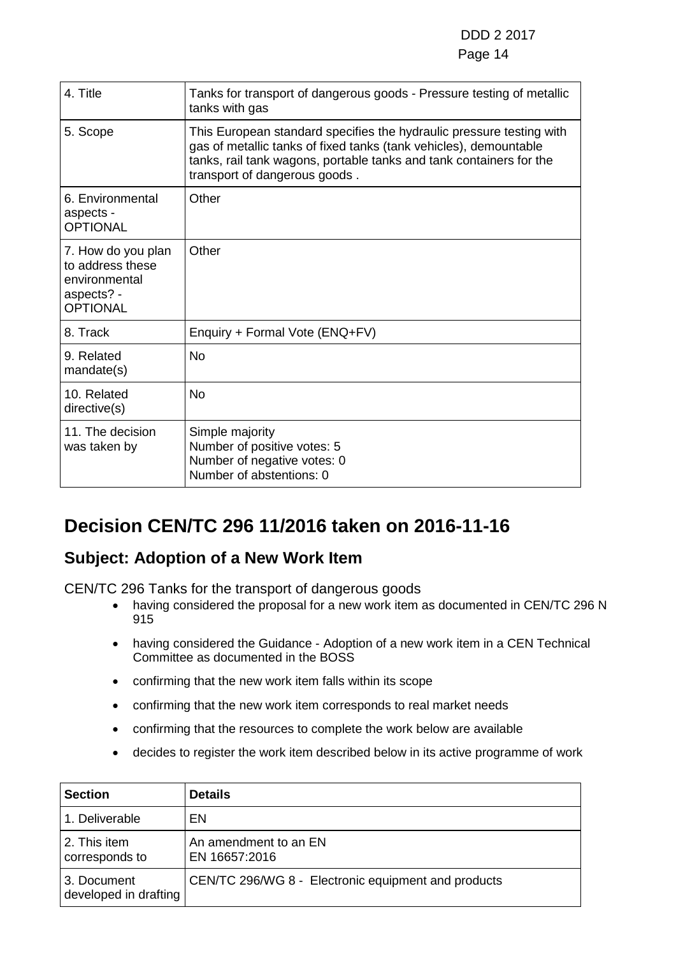#### e de la contradición de la contradición de la contradición de la contradición de la contradición de la contrad

| 4. Title                                                                                 | Tanks for transport of dangerous goods - Pressure testing of metallic<br>tanks with gas                                                                                                                                                           |
|------------------------------------------------------------------------------------------|---------------------------------------------------------------------------------------------------------------------------------------------------------------------------------------------------------------------------------------------------|
| 5. Scope                                                                                 | This European standard specifies the hydraulic pressure testing with<br>gas of metallic tanks of fixed tanks (tank vehicles), demountable<br>tanks, rail tank wagons, portable tanks and tank containers for the<br>transport of dangerous goods. |
| 6. Environmental<br>aspects -<br><b>OPTIONAL</b>                                         | Other                                                                                                                                                                                                                                             |
| 7. How do you plan<br>to address these<br>environmental<br>aspects? -<br><b>OPTIONAL</b> | Other                                                                                                                                                                                                                                             |
| 8. Track                                                                                 | Enquiry + Formal Vote (ENQ+FV)                                                                                                                                                                                                                    |
| 9. Related<br>mandate(s)                                                                 | <b>No</b>                                                                                                                                                                                                                                         |
| 10. Related<br>directive(s)                                                              | <b>No</b>                                                                                                                                                                                                                                         |
| 11. The decision<br>was taken by                                                         | Simple majority<br>Number of positive votes: 5<br>Number of negative votes: 0<br>Number of abstentions: 0                                                                                                                                         |

## **Decision CEN/TC 296 11/2016 taken on 2016-11-16**

### **Subject: Adoption of a New Work Item**

CEN/TC 296 Tanks for the transport of dangerous goods

- having considered the proposal for a new work item as documented in CEN/TC 296 N 915
- having considered the Guidance Adoption of a new work item in a CEN Technical Committee as documented in the BOSS
- confirming that the new work item falls within its scope
- confirming that the new work item corresponds to real market needs
- confirming that the resources to complete the work below are available
- decides to register the work item described below in its active programme of work

| <b>Section</b>                       | <b>Details</b>                                      |
|--------------------------------------|-----------------------------------------------------|
| 1. Deliverable                       | EN.                                                 |
| 2. This item<br>corresponds to       | An amendment to an EN<br>EN 16657:2016              |
| 3. Document<br>developed in drafting | CEN/TC 296/WG 8 - Electronic equipment and products |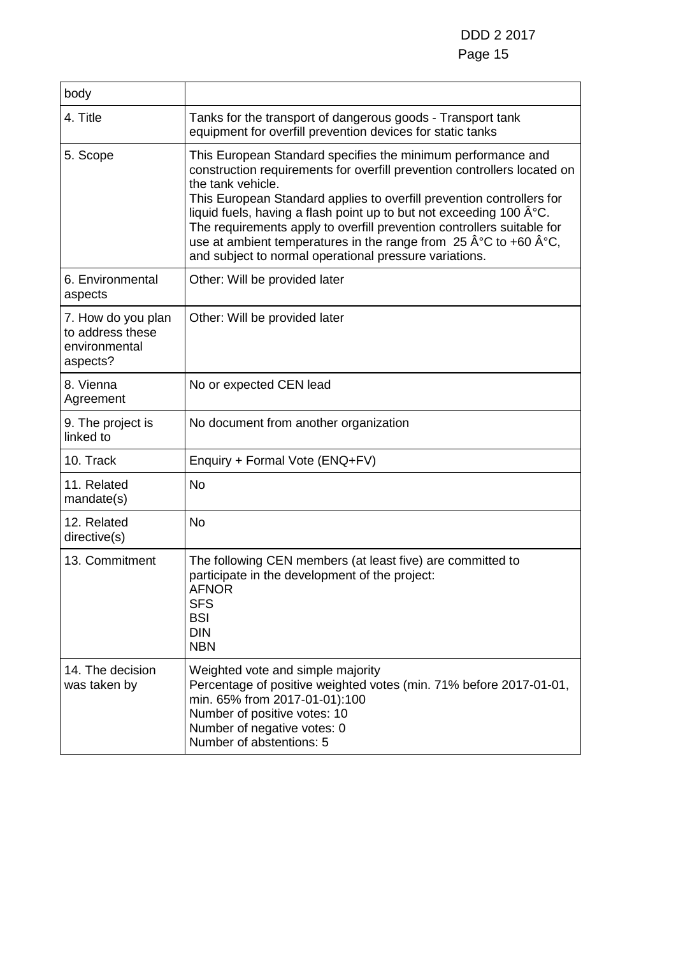| body                                                                |                                                                                                                                                                                                                                                                                                                                                                                                                                                                                                                                                                      |
|---------------------------------------------------------------------|----------------------------------------------------------------------------------------------------------------------------------------------------------------------------------------------------------------------------------------------------------------------------------------------------------------------------------------------------------------------------------------------------------------------------------------------------------------------------------------------------------------------------------------------------------------------|
| 4. Title                                                            | Tanks for the transport of dangerous goods - Transport tank<br>equipment for overfill prevention devices for static tanks                                                                                                                                                                                                                                                                                                                                                                                                                                            |
| 5. Scope                                                            | This European Standard specifies the minimum performance and<br>construction requirements for overfill prevention controllers located on<br>the tank vehicle.<br>This European Standard applies to overfill prevention controllers for<br>liquid fuels, having a flash point up to but not exceeding 100 °C.<br>The requirements apply to overfill prevention controllers suitable for<br>use at ambient temperatures in the range from $25 \text{ Å}^{\circ}\text{C}$ to +60 $\text{Å}^{\circ}\text{C}$ ,<br>and subject to normal operational pressure variations. |
| 6. Environmental<br>aspects                                         | Other: Will be provided later                                                                                                                                                                                                                                                                                                                                                                                                                                                                                                                                        |
| 7. How do you plan<br>to address these<br>environmental<br>aspects? | Other: Will be provided later                                                                                                                                                                                                                                                                                                                                                                                                                                                                                                                                        |
| 8. Vienna<br>Agreement                                              | No or expected CEN lead                                                                                                                                                                                                                                                                                                                                                                                                                                                                                                                                              |
| 9. The project is<br>linked to                                      | No document from another organization                                                                                                                                                                                                                                                                                                                                                                                                                                                                                                                                |
| 10. Track                                                           | Enquiry + Formal Vote (ENQ+FV)                                                                                                                                                                                                                                                                                                                                                                                                                                                                                                                                       |
| 11. Related<br>mandate(s)                                           | <b>No</b>                                                                                                                                                                                                                                                                                                                                                                                                                                                                                                                                                            |
| 12. Related<br>directive(s)                                         | <b>No</b>                                                                                                                                                                                                                                                                                                                                                                                                                                                                                                                                                            |
| 13. Commitment                                                      | The following CEN members (at least five) are committed to<br>participate in the development of the project:<br><b>AFNOR</b><br><b>SFS</b><br><b>BSI</b><br><b>DIN</b><br><b>NBN</b>                                                                                                                                                                                                                                                                                                                                                                                 |
| 14. The decision<br>was taken by                                    | Weighted vote and simple majority<br>Percentage of positive weighted votes (min. 71% before 2017-01-01,<br>min. 65% from 2017-01-01):100<br>Number of positive votes: 10<br>Number of negative votes: 0<br>Number of abstentions: 5                                                                                                                                                                                                                                                                                                                                  |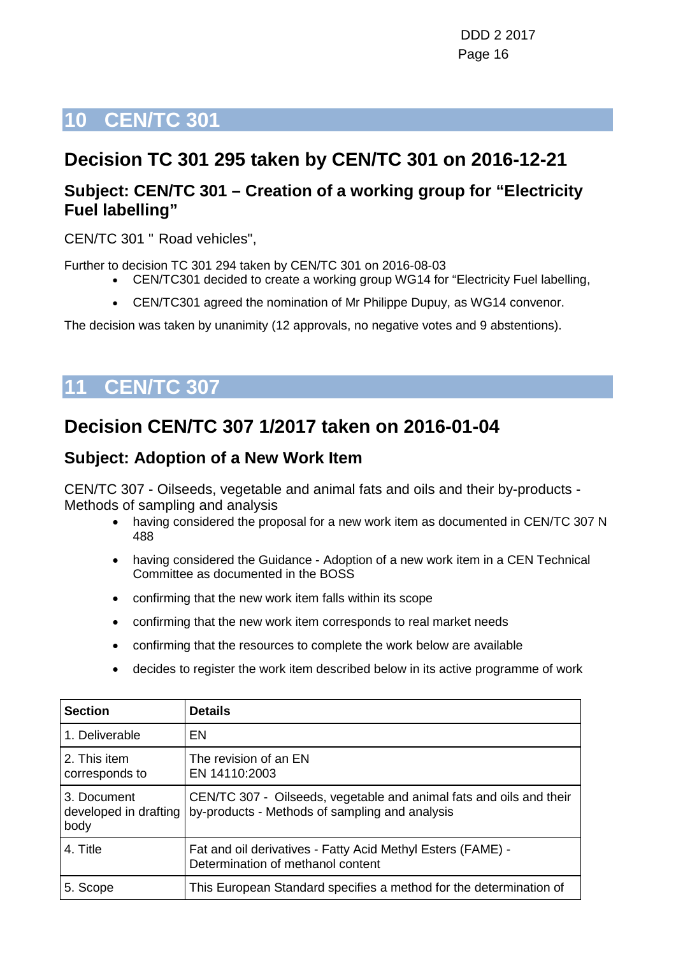## <span id="page-15-0"></span>**Decision TC 301 295 taken by CEN/TC 301 on 2016-12-21**

### **Subject: CEN/TC 301 – Creation of a working group for "Electricity Fuel labelling"**

CEN/TC 301 " Road vehicles",

Further to decision TC 301 294 taken by CEN/TC 301 on 2016-08-03

- CEN/TC301 decided to create a working group WG14 for "Electricity Fuel labelling,
- CEN/TC301 agreed the nomination of Mr Philippe Dupuy, as WG14 convenor.

The decision was taken by unanimity (12 approvals, no negative votes and 9 abstentions).

# <span id="page-15-1"></span>**11 CEN/TC 307**

## **Decision CEN/TC 307 1/2017 taken on 2016-01-04**

### **Subject: Adoption of a New Work Item**

CEN/TC 307 - Oilseeds, vegetable and animal fats and oils and their by-products - Methods of sampling and analysis

- having considered the proposal for a new work item as documented in CEN/TC 307 N 488
- having considered the Guidance Adoption of a new work item in a CEN Technical Committee as documented in the BOSS
- confirming that the new work item falls within its scope
- confirming that the new work item corresponds to real market needs
- confirming that the resources to complete the work below are available
- decides to register the work item described below in its active programme of work

| <b>Section</b>                               | <b>Details</b>                                                                                                        |
|----------------------------------------------|-----------------------------------------------------------------------------------------------------------------------|
| 1. Deliverable                               | EN                                                                                                                    |
| 2. This item<br>corresponds to               | The revision of an EN<br>EN 14110:2003                                                                                |
| 3. Document<br>developed in drafting<br>body | CEN/TC 307 - Oilseeds, vegetable and animal fats and oils and their<br>by-products - Methods of sampling and analysis |
| 4. Title                                     | Fat and oil derivatives - Fatty Acid Methyl Esters (FAME) -<br>Determination of methanol content                      |
| 5. Scope                                     | This European Standard specifies a method for the determination of                                                    |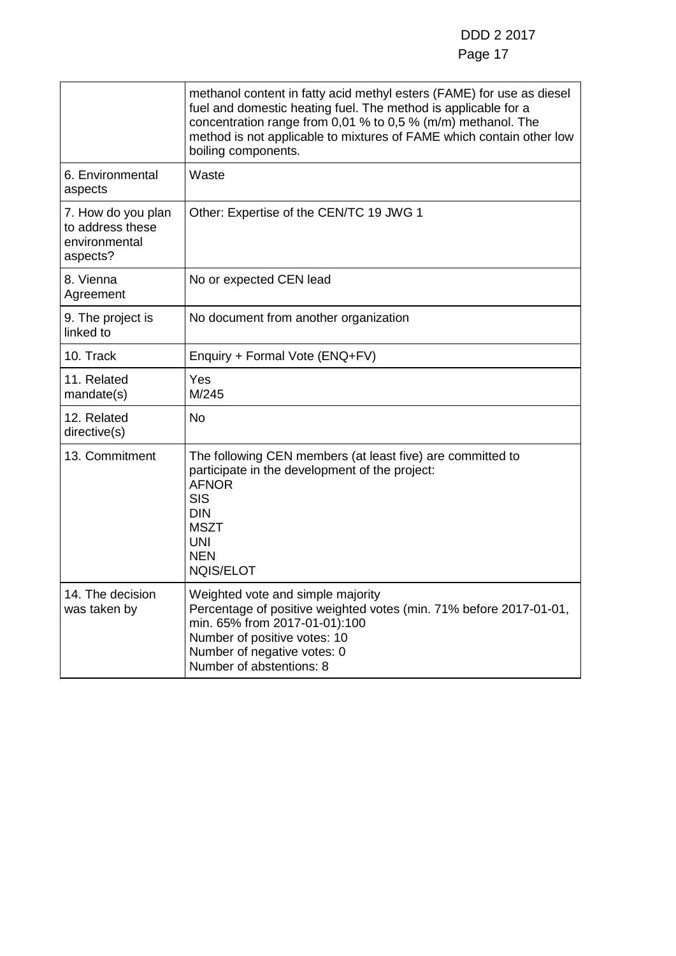### Page 17

|                                                                     | methanol content in fatty acid methyl esters (FAME) for use as diesel<br>fuel and domestic heating fuel. The method is applicable for a<br>concentration range from 0,01 % to 0,5 % (m/m) methanol. The<br>method is not applicable to mixtures of FAME which contain other low<br>boiling components. |
|---------------------------------------------------------------------|--------------------------------------------------------------------------------------------------------------------------------------------------------------------------------------------------------------------------------------------------------------------------------------------------------|
| 6. Environmental<br>aspects                                         | Waste                                                                                                                                                                                                                                                                                                  |
| 7. How do you plan<br>to address these<br>environmental<br>aspects? | Other: Expertise of the CEN/TC 19 JWG 1                                                                                                                                                                                                                                                                |
| 8. Vienna<br>Agreement                                              | No or expected CEN lead                                                                                                                                                                                                                                                                                |
| 9. The project is<br>linked to                                      | No document from another organization                                                                                                                                                                                                                                                                  |
| 10. Track                                                           | Enquiry + Formal Vote (ENQ+FV)                                                                                                                                                                                                                                                                         |
| 11. Related<br>mandate(s)                                           | Yes<br>M/245                                                                                                                                                                                                                                                                                           |
| 12. Related<br>directive(s)                                         | <b>No</b>                                                                                                                                                                                                                                                                                              |
| 13. Commitment                                                      | The following CEN members (at least five) are committed to<br>participate in the development of the project:<br><b>AFNOR</b><br><b>SIS</b><br><b>DIN</b><br><b>MSZT</b><br><b>UNI</b><br><b>NEN</b><br><b>NQIS/ELOT</b>                                                                                |
| 14. The decision<br>was taken by                                    | Weighted vote and simple majority<br>Percentage of positive weighted votes (min. 71% before 2017-01-01,<br>min. 65% from 2017-01-01):100<br>Number of positive votes: 10<br>Number of negative votes: 0<br>Number of abstentions: 8                                                                    |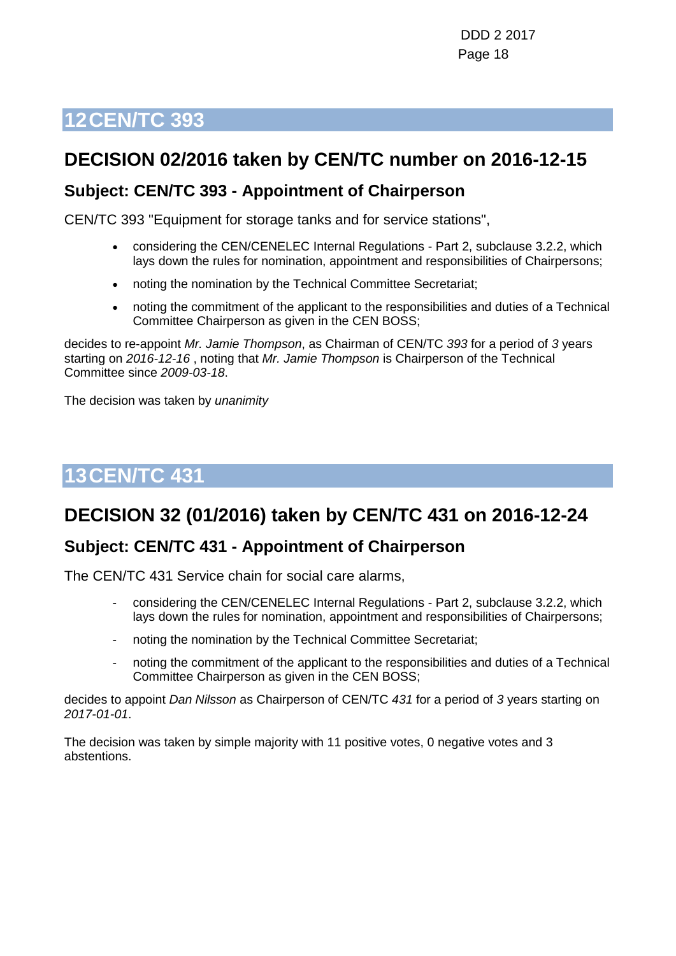## <span id="page-17-0"></span>**DECISION 02/2016 taken by CEN/TC number on 2016-12-15**

### **Subject: CEN/TC 393 - Appointment of Chairperson**

CEN/TC 393 "Equipment for storage tanks and for service stations",

- considering the CEN/CENELEC Internal Regulations Part 2, subclause 3.2.2, which lays down the rules for nomination, appointment and responsibilities of Chairpersons;
- noting the nomination by the Technical Committee Secretariat;
- noting the commitment of the applicant to the responsibilities and duties of a Technical Committee Chairperson as given in the CEN BOSS;

decides to re-appoint *Mr. Jamie Thompson*, as Chairman of CEN/TC *393* for a period of *3* years starting on *2016-12-16* , noting that *Mr. Jamie Thompson* is Chairperson of the Technical Committee since *2009-03-18*.

The decision was taken by *unanimity*

## <span id="page-17-1"></span>**13CEN/TC 431**

## **DECISION 32 (01/2016) taken by CEN/TC 431 on 2016-12-24**

### **Subject: CEN/TC 431 - Appointment of Chairperson**

The CEN/TC 431 Service chain for social care alarms,

- considering the CEN/CENELEC Internal Regulations Part 2, subclause 3.2.2, which lays down the rules for nomination, appointment and responsibilities of Chairpersons;
- noting the nomination by the Technical Committee Secretariat;
- noting the commitment of the applicant to the responsibilities and duties of a Technical Committee Chairperson as given in the CEN BOSS;

decides to appoint *Dan Nilsson* as Chairperson of CEN/TC *431* for a period of *3* years starting on *2017-01-01*.

The decision was taken by simple majority with 11 positive votes, 0 negative votes and 3 abstentions.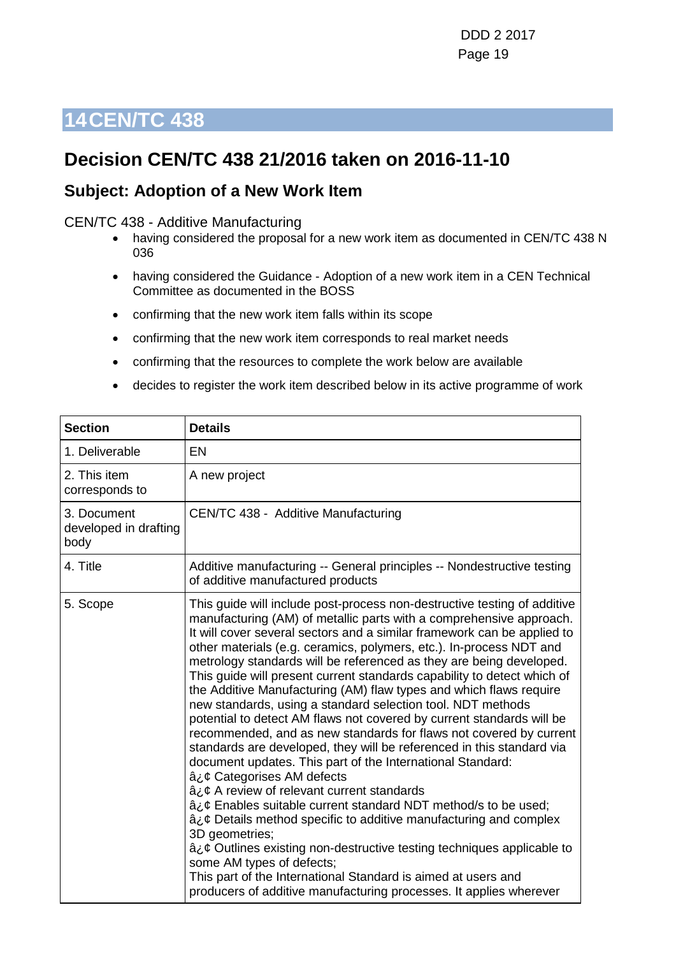### <span id="page-18-0"></span>**Decision CEN/TC 438 21/2016 taken on 2016-11-10**

### **Subject: Adoption of a New Work Item**

#### CEN/TC 438 - Additive Manufacturing

- having considered the proposal for a new work item as documented in CEN/TC 438 N 036
- having considered the Guidance Adoption of a new work item in a CEN Technical Committee as documented in the BOSS
- confirming that the new work item falls within its scope
- confirming that the new work item corresponds to real market needs
- confirming that the resources to complete the work below are available
- decides to register the work item described below in its active programme of work

| <b>Section</b>                               | <b>Details</b>                                                                                                                                                                                                                                                                                                                                                                                                                                                                                                                                                                                                                                                                                                                                                                                                                                                                                                                                                                                                                                                                                                                                                                                                                                                                                                                                                                                  |
|----------------------------------------------|-------------------------------------------------------------------------------------------------------------------------------------------------------------------------------------------------------------------------------------------------------------------------------------------------------------------------------------------------------------------------------------------------------------------------------------------------------------------------------------------------------------------------------------------------------------------------------------------------------------------------------------------------------------------------------------------------------------------------------------------------------------------------------------------------------------------------------------------------------------------------------------------------------------------------------------------------------------------------------------------------------------------------------------------------------------------------------------------------------------------------------------------------------------------------------------------------------------------------------------------------------------------------------------------------------------------------------------------------------------------------------------------------|
| 1. Deliverable                               | <b>EN</b>                                                                                                                                                                                                                                                                                                                                                                                                                                                                                                                                                                                                                                                                                                                                                                                                                                                                                                                                                                                                                                                                                                                                                                                                                                                                                                                                                                                       |
| 2. This item<br>corresponds to               | A new project                                                                                                                                                                                                                                                                                                                                                                                                                                                                                                                                                                                                                                                                                                                                                                                                                                                                                                                                                                                                                                                                                                                                                                                                                                                                                                                                                                                   |
| 3. Document<br>developed in drafting<br>body | CEN/TC 438 - Additive Manufacturing                                                                                                                                                                                                                                                                                                                                                                                                                                                                                                                                                                                                                                                                                                                                                                                                                                                                                                                                                                                                                                                                                                                                                                                                                                                                                                                                                             |
| 4. Title                                     | Additive manufacturing -- General principles -- Nondestructive testing<br>of additive manufactured products                                                                                                                                                                                                                                                                                                                                                                                                                                                                                                                                                                                                                                                                                                                                                                                                                                                                                                                                                                                                                                                                                                                                                                                                                                                                                     |
| 5. Scope                                     | This guide will include post-process non-destructive testing of additive<br>manufacturing (AM) of metallic parts with a comprehensive approach.<br>It will cover several sectors and a similar framework can be applied to<br>other materials (e.g. ceramics, polymers, etc.). In-process NDT and<br>metrology standards will be referenced as they are being developed.<br>This guide will present current standards capability to detect which of<br>the Additive Manufacturing (AM) flaw types and which flaws require<br>new standards, using a standard selection tool. NDT methods<br>potential to detect AM flaws not covered by current standards will be<br>recommended, and as new standards for flaws not covered by current<br>standards are developed, they will be referenced in this standard via<br>document updates. This part of the International Standard:<br>â¿¢ Categorises AM defects<br>â¿¢ A review of relevant current standards<br>â¿¢ Enables suitable current standard NDT method/s to be used;<br>$\hat{a}_{\ell}$ $\varphi$ Details method specific to additive manufacturing and complex<br>3D geometries;<br>$a_{\ell}$ Cutlines existing non-destructive testing techniques applicable to<br>some AM types of defects;<br>This part of the International Standard is aimed at users and<br>producers of additive manufacturing processes. It applies wherever |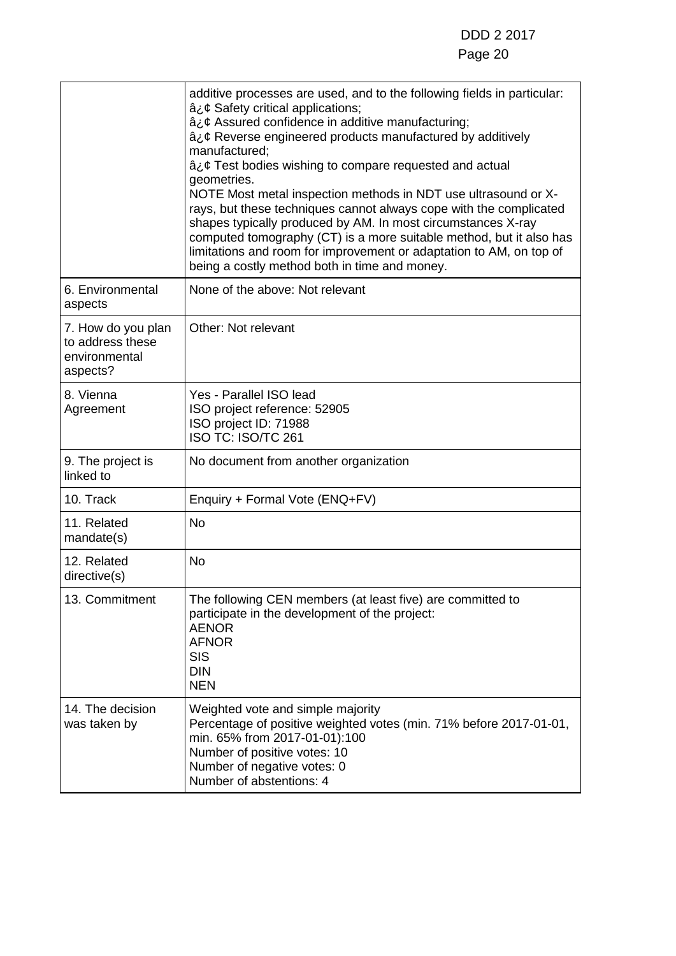### Page 20

|                                                                     | additive processes are used, and to the following fields in particular:<br>â¿¢ Safety critical applications;<br>â¿¢ Assured confidence in additive manufacturing;<br>â¿¢ Reverse engineered products manufactured by additively<br>manufactured:<br>â¿¢ Test bodies wishing to compare requested and actual<br>geometries.<br>NOTE Most metal inspection methods in NDT use ultrasound or X-<br>rays, but these techniques cannot always cope with the complicated<br>shapes typically produced by AM. In most circumstances X-ray<br>computed tomography (CT) is a more suitable method, but it also has<br>limitations and room for improvement or adaptation to AM, on top of<br>being a costly method both in time and money. |
|---------------------------------------------------------------------|-----------------------------------------------------------------------------------------------------------------------------------------------------------------------------------------------------------------------------------------------------------------------------------------------------------------------------------------------------------------------------------------------------------------------------------------------------------------------------------------------------------------------------------------------------------------------------------------------------------------------------------------------------------------------------------------------------------------------------------|
| 6. Environmental<br>aspects                                         | None of the above: Not relevant                                                                                                                                                                                                                                                                                                                                                                                                                                                                                                                                                                                                                                                                                                   |
| 7. How do you plan<br>to address these<br>environmental<br>aspects? | Other: Not relevant                                                                                                                                                                                                                                                                                                                                                                                                                                                                                                                                                                                                                                                                                                               |
| 8. Vienna<br>Agreement                                              | Yes - Parallel ISO lead<br>ISO project reference: 52905<br>ISO project ID: 71988<br>ISO TC: ISO/TC 261                                                                                                                                                                                                                                                                                                                                                                                                                                                                                                                                                                                                                            |
| 9. The project is<br>linked to                                      | No document from another organization                                                                                                                                                                                                                                                                                                                                                                                                                                                                                                                                                                                                                                                                                             |
| 10. Track                                                           | Enquiry + Formal Vote (ENQ+FV)                                                                                                                                                                                                                                                                                                                                                                                                                                                                                                                                                                                                                                                                                                    |
| 11. Related<br>mandate(s)                                           | <b>No</b>                                                                                                                                                                                                                                                                                                                                                                                                                                                                                                                                                                                                                                                                                                                         |
| 12. Related<br>directive(s)                                         | <b>No</b>                                                                                                                                                                                                                                                                                                                                                                                                                                                                                                                                                                                                                                                                                                                         |
| 13. Commitment                                                      | The following CEN members (at least five) are committed to<br>participate in the development of the project:<br><b>AENOR</b><br><b>AFNOR</b><br><b>SIS</b><br><b>DIN</b><br><b>NEN</b>                                                                                                                                                                                                                                                                                                                                                                                                                                                                                                                                            |
| 14. The decision<br>was taken by                                    | Weighted vote and simple majority<br>Percentage of positive weighted votes (min. 71% before 2017-01-01,<br>min. 65% from 2017-01-01):100<br>Number of positive votes: 10<br>Number of negative votes: 0<br>Number of abstentions: 4                                                                                                                                                                                                                                                                                                                                                                                                                                                                                               |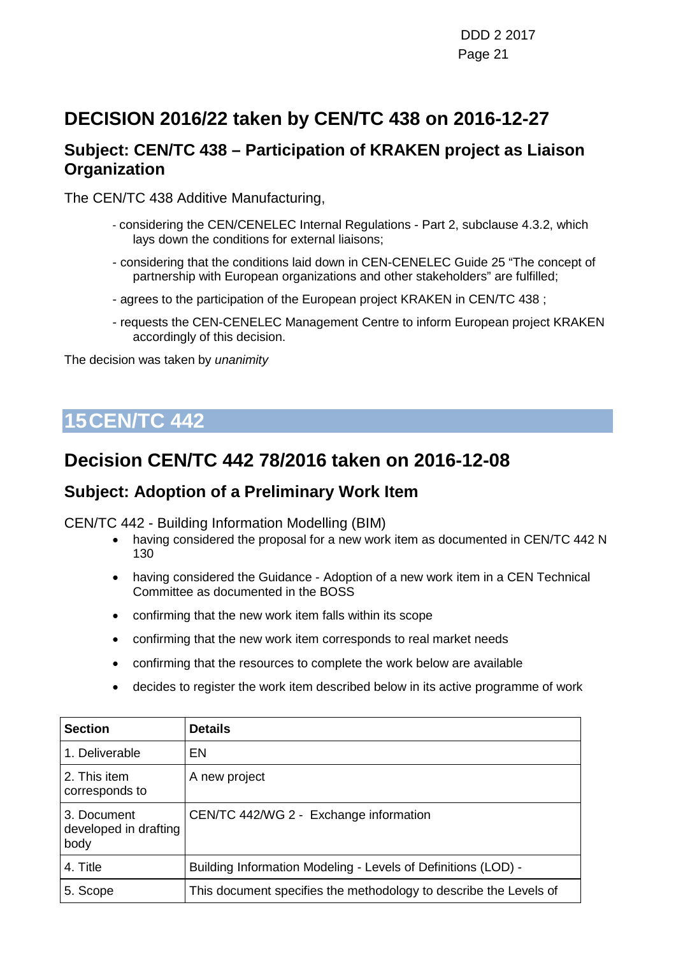DDD 2 2017 Page 21

## **DECISION 2016/22 taken by CEN/TC 438 on 2016-12-27**

### **Subject: CEN/TC 438 – Participation of KRAKEN project as Liaison Organization**

The CEN/TC 438 Additive Manufacturing,

- considering the CEN/CENELEC Internal Regulations Part 2, subclause 4.3.2, which lays down the conditions for external liaisons;
- considering that the conditions laid down in CEN-CENELEC Guide 25 "The concept of partnership with European organizations and other stakeholders" are fulfilled;
- agrees to the participation of the European project KRAKEN in CEN/TC 438 ;
- requests the CEN-CENELEC Management Centre to inform European project KRAKEN accordingly of this decision.

The decision was taken by *unanimity*

## <span id="page-20-0"></span>**15CEN/TC 442**

### **Decision CEN/TC 442 78/2016 taken on 2016-12-08**

### **Subject: Adoption of a Preliminary Work Item**

CEN/TC 442 - Building Information Modelling (BIM)

- having considered the proposal for a new work item as documented in CEN/TC 442 N 130
- having considered the Guidance Adoption of a new work item in a CEN Technical Committee as documented in the BOSS
- confirming that the new work item falls within its scope
- confirming that the new work item corresponds to real market needs
- confirming that the resources to complete the work below are available
- decides to register the work item described below in its active programme of work

| <b>Section</b>                               | Details                                                           |
|----------------------------------------------|-------------------------------------------------------------------|
| 1. Deliverable                               | EN                                                                |
| 2. This item<br>corresponds to               | A new project                                                     |
| 3. Document<br>developed in drafting<br>body | CEN/TC 442/WG 2 - Exchange information                            |
| 4. Title                                     | Building Information Modeling - Levels of Definitions (LOD) -     |
| 5. Scope                                     | This document specifies the methodology to describe the Levels of |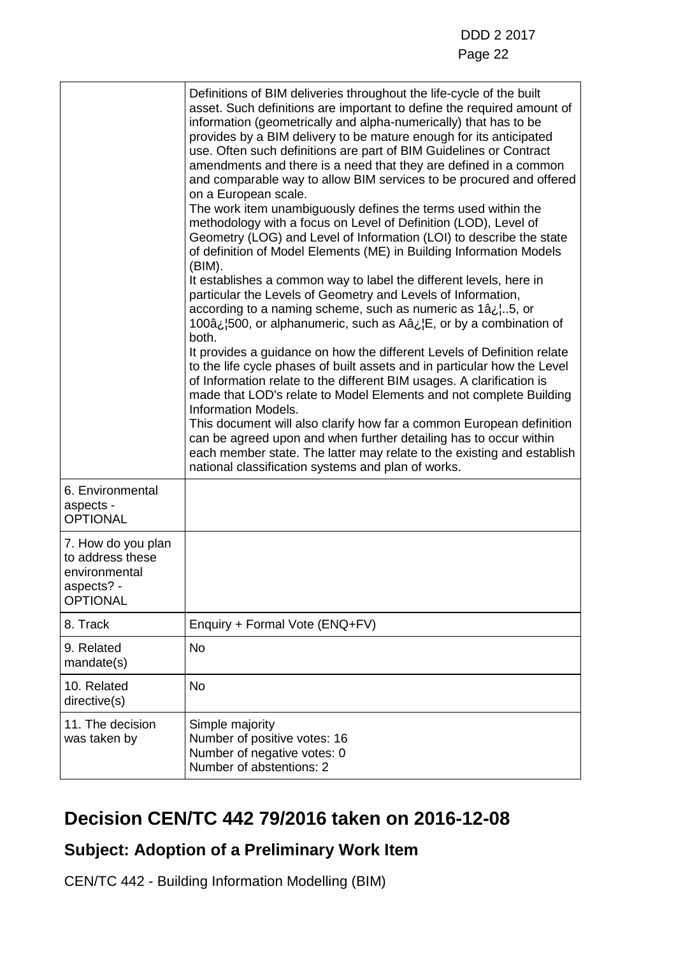|                                                                                          | Definitions of BIM deliveries throughout the life-cycle of the built<br>asset. Such definitions are important to define the required amount of<br>information (geometrically and alpha-numerically) that has to be<br>provides by a BIM delivery to be mature enough for its anticipated<br>use. Often such definitions are part of BIM Guidelines or Contract<br>amendments and there is a need that they are defined in a common<br>and comparable way to allow BIM services to be procured and offered<br>on a European scale.<br>The work item unambiguously defines the terms used within the<br>methodology with a focus on Level of Definition (LOD), Level of<br>Geometry (LOG) and Level of Information (LOI) to describe the state<br>of definition of Model Elements (ME) in Building Information Models<br>(BIM).<br>It establishes a common way to label the different levels, here in<br>particular the Levels of Geometry and Levels of Information,<br>according to a naming scheme, such as numeric as 1â. b. 5, or<br>100 $a_{\lambda}$ , 500, or alphanumeric, such as A $a_{\lambda}$ , E, or by a combination of<br>both.<br>It provides a guidance on how the different Levels of Definition relate<br>to the life cycle phases of built assets and in particular how the Level<br>of Information relate to the different BIM usages. A clarification is<br>made that LOD's relate to Model Elements and not complete Building<br><b>Information Models.</b><br>This document will also clarify how far a common European definition<br>can be agreed upon and when further detailing has to occur within<br>each member state. The latter may relate to the existing and establish<br>national classification systems and plan of works. |
|------------------------------------------------------------------------------------------|-----------------------------------------------------------------------------------------------------------------------------------------------------------------------------------------------------------------------------------------------------------------------------------------------------------------------------------------------------------------------------------------------------------------------------------------------------------------------------------------------------------------------------------------------------------------------------------------------------------------------------------------------------------------------------------------------------------------------------------------------------------------------------------------------------------------------------------------------------------------------------------------------------------------------------------------------------------------------------------------------------------------------------------------------------------------------------------------------------------------------------------------------------------------------------------------------------------------------------------------------------------------------------------------------------------------------------------------------------------------------------------------------------------------------------------------------------------------------------------------------------------------------------------------------------------------------------------------------------------------------------------------------------------------------------------------------------------------------------------------------------------------|
| 6. Environmental<br>aspects -<br><b>OPTIONAL</b>                                         |                                                                                                                                                                                                                                                                                                                                                                                                                                                                                                                                                                                                                                                                                                                                                                                                                                                                                                                                                                                                                                                                                                                                                                                                                                                                                                                                                                                                                                                                                                                                                                                                                                                                                                                                                                 |
| 7. How do you plan<br>to address these<br>environmental<br>aspects? -<br><b>OPTIONAL</b> |                                                                                                                                                                                                                                                                                                                                                                                                                                                                                                                                                                                                                                                                                                                                                                                                                                                                                                                                                                                                                                                                                                                                                                                                                                                                                                                                                                                                                                                                                                                                                                                                                                                                                                                                                                 |
| 8. Track                                                                                 | Enquiry + Formal Vote (ENQ+FV)                                                                                                                                                                                                                                                                                                                                                                                                                                                                                                                                                                                                                                                                                                                                                                                                                                                                                                                                                                                                                                                                                                                                                                                                                                                                                                                                                                                                                                                                                                                                                                                                                                                                                                                                  |
| 9. Related<br>mandate(s)                                                                 | <b>No</b>                                                                                                                                                                                                                                                                                                                                                                                                                                                                                                                                                                                                                                                                                                                                                                                                                                                                                                                                                                                                                                                                                                                                                                                                                                                                                                                                                                                                                                                                                                                                                                                                                                                                                                                                                       |
| 10. Related<br>directive(s)                                                              | <b>No</b>                                                                                                                                                                                                                                                                                                                                                                                                                                                                                                                                                                                                                                                                                                                                                                                                                                                                                                                                                                                                                                                                                                                                                                                                                                                                                                                                                                                                                                                                                                                                                                                                                                                                                                                                                       |
| 11. The decision<br>was taken by                                                         | Simple majority<br>Number of positive votes: 16<br>Number of negative votes: 0<br>Number of abstentions: 2                                                                                                                                                                                                                                                                                                                                                                                                                                                                                                                                                                                                                                                                                                                                                                                                                                                                                                                                                                                                                                                                                                                                                                                                                                                                                                                                                                                                                                                                                                                                                                                                                                                      |

## **Decision CEN/TC 442 79/2016 taken on 2016-12-08**

### **Subject: Adoption of a Preliminary Work Item**

CEN/TC 442 - Building Information Modelling (BIM)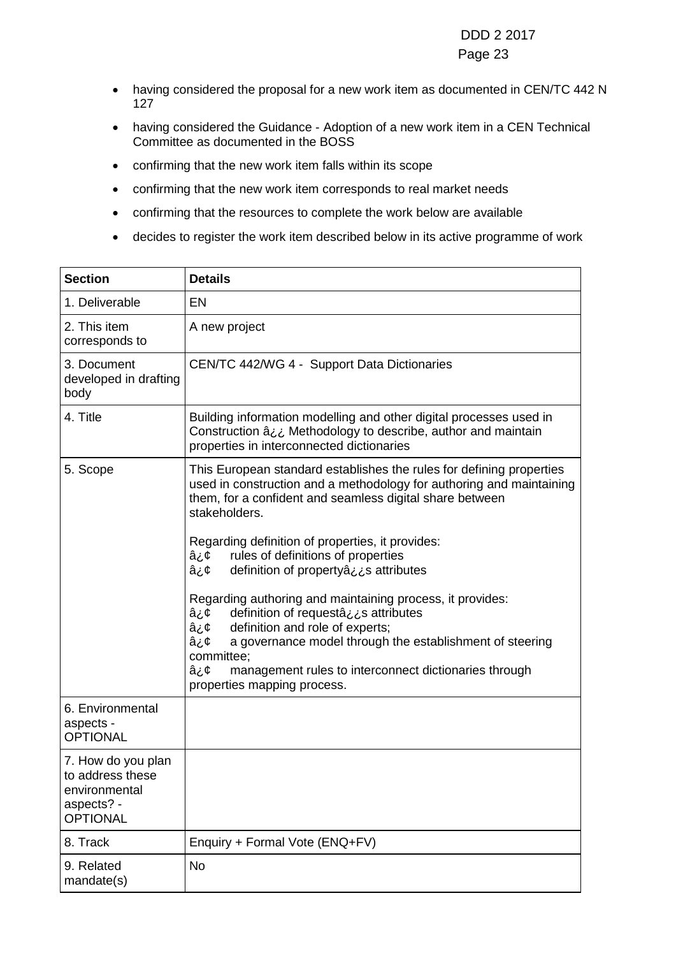#### Page 23

- having considered the proposal for a new work item as documented in CEN/TC 442 N 127
- having considered the Guidance Adoption of a new work item in a CEN Technical Committee as documented in the BOSS
- confirming that the new work item falls within its scope
- confirming that the new work item corresponds to real market needs
- confirming that the resources to complete the work below are available
- decides to register the work item described below in its active programme of work

| <b>Section</b>                                                                           | <b>Details</b>                                                                                                                                                                                                                                                                                                                                                            |
|------------------------------------------------------------------------------------------|---------------------------------------------------------------------------------------------------------------------------------------------------------------------------------------------------------------------------------------------------------------------------------------------------------------------------------------------------------------------------|
| 1. Deliverable                                                                           | <b>EN</b>                                                                                                                                                                                                                                                                                                                                                                 |
| 2. This item<br>corresponds to                                                           | A new project                                                                                                                                                                                                                                                                                                                                                             |
| 3. Document<br>developed in drafting<br>body                                             | CEN/TC 442/WG 4 - Support Data Dictionaries                                                                                                                                                                                                                                                                                                                               |
| 4. Title                                                                                 | Building information modelling and other digital processes used in<br>Construction â ¿¿ Methodology to describe, author and maintain<br>properties in interconnected dictionaries                                                                                                                                                                                         |
| 5. Scope                                                                                 | This European standard establishes the rules for defining properties<br>used in construction and a methodology for authoring and maintaining<br>them, for a confident and seamless digital share between<br>stakeholders.<br>Regarding definition of properties, it provides:<br>rules of definitions of properties<br>â¿¢<br>definition of propertyâ¿s attributes<br>â¿¢ |
|                                                                                          | Regarding authoring and maintaining process, it provides:<br>definition of requestation attributes<br>â¿¢<br>definition and role of experts;<br>â¿¢<br>a governance model through the establishment of steering<br>â¿¢<br>committee;<br>â¿¢<br>management rules to interconnect dictionaries through<br>properties mapping process.                                       |
| 6. Environmental<br>aspects -<br><b>OPTIONAL</b>                                         |                                                                                                                                                                                                                                                                                                                                                                           |
| 7. How do you plan<br>to address these<br>environmental<br>aspects? -<br><b>OPTIONAL</b> |                                                                                                                                                                                                                                                                                                                                                                           |
| 8. Track                                                                                 | Enquiry + Formal Vote (ENQ+FV)                                                                                                                                                                                                                                                                                                                                            |
| 9. Related<br>mandate(s)                                                                 | No                                                                                                                                                                                                                                                                                                                                                                        |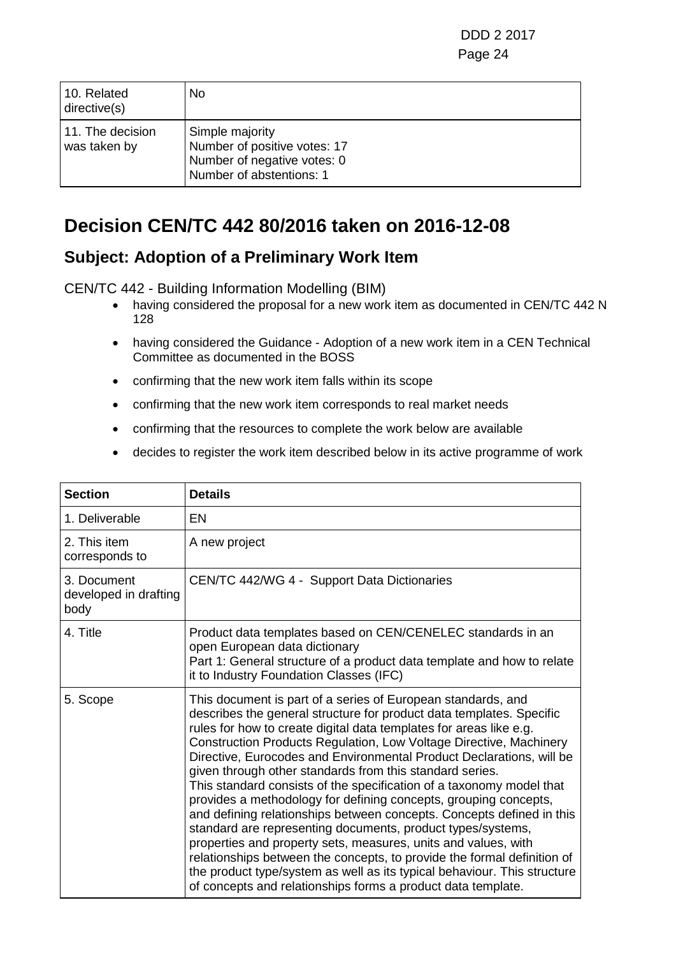| 10. Related<br>directive(s)      | No.                                                                                                        |
|----------------------------------|------------------------------------------------------------------------------------------------------------|
| 11. The decision<br>was taken by | Simple majority<br>Number of positive votes: 17<br>Number of negative votes: 0<br>Number of abstentions: 1 |

## **Decision CEN/TC 442 80/2016 taken on 2016-12-08**

### **Subject: Adoption of a Preliminary Work Item**

CEN/TC 442 - Building Information Modelling (BIM)

- having considered the proposal for a new work item as documented in CEN/TC 442 N 128
- having considered the Guidance Adoption of a new work item in a CEN Technical Committee as documented in the BOSS
- confirming that the new work item falls within its scope
- confirming that the new work item corresponds to real market needs
- confirming that the resources to complete the work below are available
- decides to register the work item described below in its active programme of work

| <b>Section</b>                               | <b>Details</b>                                                                                                                                                                                                                                                                                                                                                                                                                                                                                                                                                                                                                                                                                                                                                                                                                                                                                                                                                                                    |
|----------------------------------------------|---------------------------------------------------------------------------------------------------------------------------------------------------------------------------------------------------------------------------------------------------------------------------------------------------------------------------------------------------------------------------------------------------------------------------------------------------------------------------------------------------------------------------------------------------------------------------------------------------------------------------------------------------------------------------------------------------------------------------------------------------------------------------------------------------------------------------------------------------------------------------------------------------------------------------------------------------------------------------------------------------|
| 1. Deliverable                               | EN                                                                                                                                                                                                                                                                                                                                                                                                                                                                                                                                                                                                                                                                                                                                                                                                                                                                                                                                                                                                |
| 2. This item<br>corresponds to               | A new project                                                                                                                                                                                                                                                                                                                                                                                                                                                                                                                                                                                                                                                                                                                                                                                                                                                                                                                                                                                     |
| 3. Document<br>developed in drafting<br>body | CEN/TC 442/WG 4 - Support Data Dictionaries                                                                                                                                                                                                                                                                                                                                                                                                                                                                                                                                                                                                                                                                                                                                                                                                                                                                                                                                                       |
| 4. Title                                     | Product data templates based on CEN/CENELEC standards in an<br>open European data dictionary<br>Part 1: General structure of a product data template and how to relate<br>it to Industry Foundation Classes (IFC)                                                                                                                                                                                                                                                                                                                                                                                                                                                                                                                                                                                                                                                                                                                                                                                 |
| 5. Scope                                     | This document is part of a series of European standards, and<br>describes the general structure for product data templates. Specific<br>rules for how to create digital data templates for areas like e.g.<br>Construction Products Regulation, Low Voltage Directive, Machinery<br>Directive, Eurocodes and Environmental Product Declarations, will be<br>given through other standards from this standard series.<br>This standard consists of the specification of a taxonomy model that<br>provides a methodology for defining concepts, grouping concepts,<br>and defining relationships between concepts. Concepts defined in this<br>standard are representing documents, product types/systems,<br>properties and property sets, measures, units and values, with<br>relationships between the concepts, to provide the formal definition of<br>the product type/system as well as its typical behaviour. This structure<br>of concepts and relationships forms a product data template. |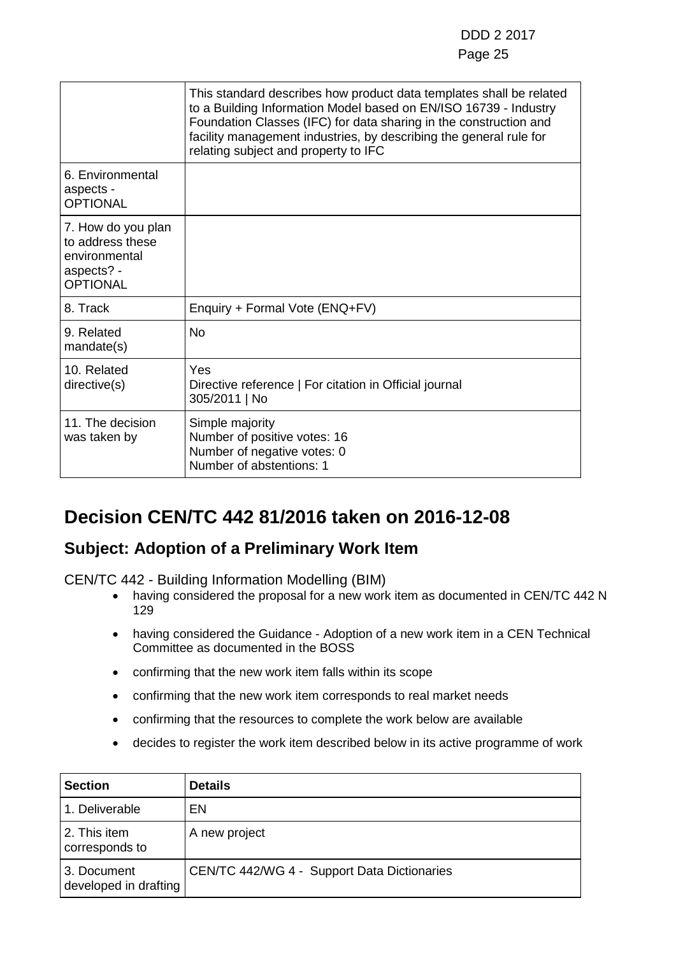|                                                                                          | This standard describes how product data templates shall be related<br>to a Building Information Model based on EN/ISO 16739 - Industry<br>Foundation Classes (IFC) for data sharing in the construction and<br>facility management industries, by describing the general rule for<br>relating subject and property to IFC |
|------------------------------------------------------------------------------------------|----------------------------------------------------------------------------------------------------------------------------------------------------------------------------------------------------------------------------------------------------------------------------------------------------------------------------|
| 6. Environmental<br>aspects -<br><b>OPTIONAL</b>                                         |                                                                                                                                                                                                                                                                                                                            |
| 7. How do you plan<br>to address these<br>environmental<br>aspects? -<br><b>OPTIONAL</b> |                                                                                                                                                                                                                                                                                                                            |
| 8. Track                                                                                 | Enquiry + Formal Vote (ENQ+FV)                                                                                                                                                                                                                                                                                             |
| 9. Related<br>mandate(s)                                                                 | <b>No</b>                                                                                                                                                                                                                                                                                                                  |
| 10. Related<br>directive(s)                                                              | Yes<br>Directive reference   For citation in Official journal<br>305/2011   No                                                                                                                                                                                                                                             |
| 11. The decision<br>was taken by                                                         | Simple majority<br>Number of positive votes: 16<br>Number of negative votes: 0<br>Number of abstentions: 1                                                                                                                                                                                                                 |

## **Decision CEN/TC 442 81/2016 taken on 2016-12-08**

### **Subject: Adoption of a Preliminary Work Item**

CEN/TC 442 - Building Information Modelling (BIM)

- having considered the proposal for a new work item as documented in CEN/TC 442 N 129
- having considered the Guidance Adoption of a new work item in a CEN Technical Committee as documented in the BOSS
- confirming that the new work item falls within its scope
- confirming that the new work item corresponds to real market needs
- confirming that the resources to complete the work below are available
- decides to register the work item described below in its active programme of work

| <b>Section</b>                       | <b>Details</b>                              |
|--------------------------------------|---------------------------------------------|
| 1. Deliverable                       | EN.                                         |
| 2. This item<br>corresponds to       | A new project                               |
| 3. Document<br>developed in drafting | CEN/TC 442/WG 4 - Support Data Dictionaries |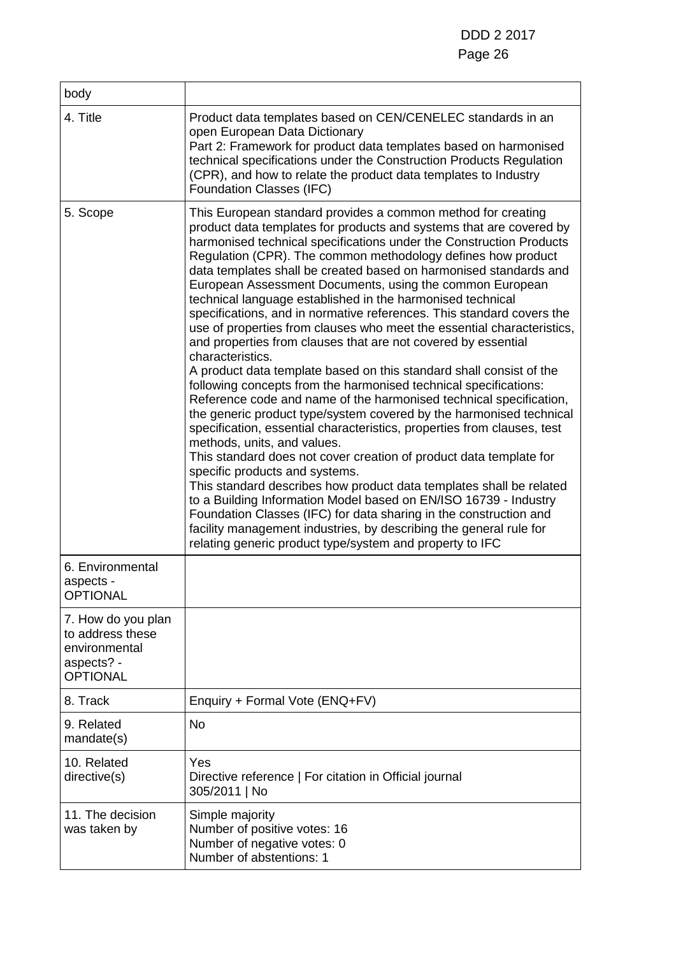| body                                                                                     |                                                                                                                                                                                                                                                                                                                                                                                                                                                                                                                                                                                                                                                                                                                                                                                                                                                                                                                                                                                                                                                                                                                                                                                                                                                                                                                                                                                                                                                                                                                                                                               |
|------------------------------------------------------------------------------------------|-------------------------------------------------------------------------------------------------------------------------------------------------------------------------------------------------------------------------------------------------------------------------------------------------------------------------------------------------------------------------------------------------------------------------------------------------------------------------------------------------------------------------------------------------------------------------------------------------------------------------------------------------------------------------------------------------------------------------------------------------------------------------------------------------------------------------------------------------------------------------------------------------------------------------------------------------------------------------------------------------------------------------------------------------------------------------------------------------------------------------------------------------------------------------------------------------------------------------------------------------------------------------------------------------------------------------------------------------------------------------------------------------------------------------------------------------------------------------------------------------------------------------------------------------------------------------------|
| 4. Title                                                                                 | Product data templates based on CEN/CENELEC standards in an<br>open European Data Dictionary<br>Part 2: Framework for product data templates based on harmonised<br>technical specifications under the Construction Products Regulation<br>(CPR), and how to relate the product data templates to Industry<br><b>Foundation Classes (IFC)</b>                                                                                                                                                                                                                                                                                                                                                                                                                                                                                                                                                                                                                                                                                                                                                                                                                                                                                                                                                                                                                                                                                                                                                                                                                                 |
| 5. Scope                                                                                 | This European standard provides a common method for creating<br>product data templates for products and systems that are covered by<br>harmonised technical specifications under the Construction Products<br>Regulation (CPR). The common methodology defines how product<br>data templates shall be created based on harmonised standards and<br>European Assessment Documents, using the common European<br>technical language established in the harmonised technical<br>specifications, and in normative references. This standard covers the<br>use of properties from clauses who meet the essential characteristics,<br>and properties from clauses that are not covered by essential<br>characteristics.<br>A product data template based on this standard shall consist of the<br>following concepts from the harmonised technical specifications:<br>Reference code and name of the harmonised technical specification,<br>the generic product type/system covered by the harmonised technical<br>specification, essential characteristics, properties from clauses, test<br>methods, units, and values.<br>This standard does not cover creation of product data template for<br>specific products and systems.<br>This standard describes how product data templates shall be related<br>to a Building Information Model based on EN/ISO 16739 - Industry<br>Foundation Classes (IFC) for data sharing in the construction and<br>facility management industries, by describing the general rule for<br>relating generic product type/system and property to IFC |
| 6. Environmental<br>aspects -<br><b>OPTIONAL</b>                                         |                                                                                                                                                                                                                                                                                                                                                                                                                                                                                                                                                                                                                                                                                                                                                                                                                                                                                                                                                                                                                                                                                                                                                                                                                                                                                                                                                                                                                                                                                                                                                                               |
| 7. How do you plan<br>to address these<br>environmental<br>aspects? -<br><b>OPTIONAL</b> |                                                                                                                                                                                                                                                                                                                                                                                                                                                                                                                                                                                                                                                                                                                                                                                                                                                                                                                                                                                                                                                                                                                                                                                                                                                                                                                                                                                                                                                                                                                                                                               |
| 8. Track                                                                                 | Enquiry + Formal Vote (ENQ+FV)                                                                                                                                                                                                                                                                                                                                                                                                                                                                                                                                                                                                                                                                                                                                                                                                                                                                                                                                                                                                                                                                                                                                                                                                                                                                                                                                                                                                                                                                                                                                                |
| 9. Related<br>mandate(s)                                                                 | <b>No</b>                                                                                                                                                                                                                                                                                                                                                                                                                                                                                                                                                                                                                                                                                                                                                                                                                                                                                                                                                                                                                                                                                                                                                                                                                                                                                                                                                                                                                                                                                                                                                                     |
| 10. Related<br>directive(s)                                                              | Yes<br>Directive reference   For citation in Official journal<br>305/2011   No                                                                                                                                                                                                                                                                                                                                                                                                                                                                                                                                                                                                                                                                                                                                                                                                                                                                                                                                                                                                                                                                                                                                                                                                                                                                                                                                                                                                                                                                                                |
| 11. The decision<br>was taken by                                                         | Simple majority<br>Number of positive votes: 16<br>Number of negative votes: 0<br>Number of abstentions: 1                                                                                                                                                                                                                                                                                                                                                                                                                                                                                                                                                                                                                                                                                                                                                                                                                                                                                                                                                                                                                                                                                                                                                                                                                                                                                                                                                                                                                                                                    |